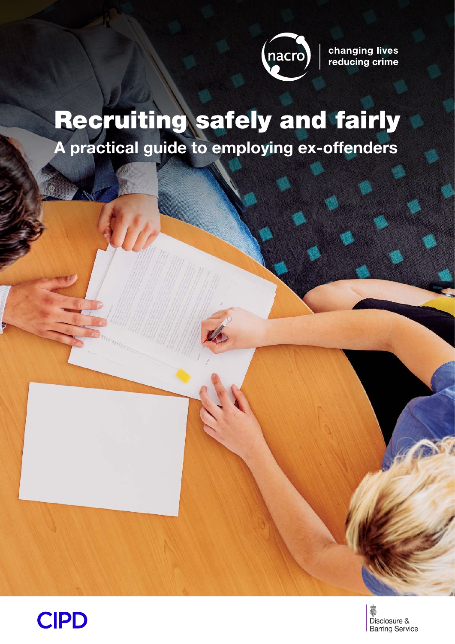

changing lives reducing crime

# Recruiting safely and fairly

**A practical guide to employing ex-offenders**



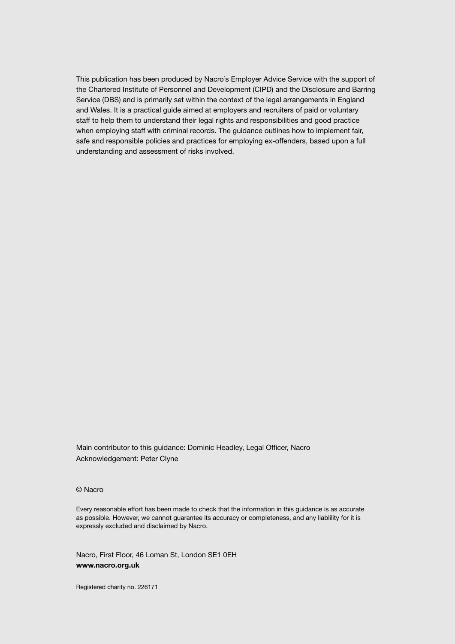This publication has been produced by Nacro's [Employer Advice Service](https://www.nacro.org.uk/resettlement-advice-service/support-for-employers/) with the support of the Chartered Institute of Personnel and Development (CIPD) and the Disclosure and Barring Service (DBS) and is primarily set within the context of the legal arrangements in England and Wales. It is a practical guide aimed at employers and recruiters of paid or voluntary staff to help them to understand their legal rights and responsibilities and good practice when employing staff with criminal records. The guidance outlines how to implement fair, safe and responsible policies and practices for employing ex-offenders, based upon a full understanding and assessment of risks involved.

Main contributor to this guidance: Dominic Headley, Legal Officer, Nacro Acknowledgement: Peter Clyne

© Nacro

Every reasonable effort has been made to check that the information in this guidance is as accurate as possible. However, we cannot guarantee its accuracy or completeness, and any liablility for it is expressly excluded and disclaimed by Nacro.

Nacro, First Floor, 46 Loman St, London SE1 0EH **www.nacro.org.uk**

Registered charity no. 226171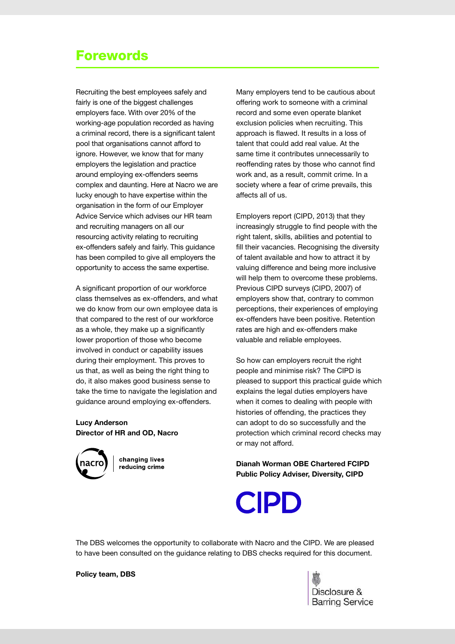# Forewords

Recruiting the best employees safely and fairly is one of the biggest challenges employers face. With over 20% of the working-age population recorded as having a criminal record, there is a significant talent pool that organisations cannot afford to ignore. However, we know that for many employers the legislation and practice around employing ex-offenders seems complex and daunting. Here at Nacro we are lucky enough to have expertise within the organisation in the form of our Employer Advice Service which advises our HR team and recruiting managers on all our resourcing activity relating to recruiting ex-offenders safely and fairly. This guidance has been compiled to give all employers the opportunity to access the same expertise.

A significant proportion of our workforce class themselves as ex-offenders, and what we do know from our own employee data is that compared to the rest of our workforce as a whole, they make up a significantly lower proportion of those who become involved in conduct or capability issues during their employment. This proves to us that, as well as being the right thing to do, it also makes good business sense to take the time to navigate the legislation and guidance around employing ex-offenders.

#### **Lucy Anderson Director of HR and OD, Nacro**



changing lives reducing crime

Many employers tend to be cautious about offering work to someone with a criminal record and some even operate blanket exclusion policies when recruiting. This approach is flawed. It results in a loss of talent that could add real value. At the same time it contributes unnecessarily to reoffending rates by those who cannot find work and, as a result, commit crime. In a society where a fear of crime prevails, this affects all of us.

Employers report (CIPD, 2013) that they increasingly struggle to find people with the right talent, skills, abilities and potential to fill their vacancies. Recognising the diversity of talent available and how to attract it by valuing difference and being more inclusive will help them to overcome these problems. Previous CIPD surveys (CIPD, 2007) of employers show that, contrary to common perceptions, their experiences of employing ex-offenders have been positive. Retention rates are high and ex-offenders make valuable and reliable employees.

So how can employers recruit the right people and minimise risk? The CIPD is pleased to support this practical guide which explains the legal duties employers have when it comes to dealing with people with histories of offending, the practices they can adopt to do so successfully and the protection which criminal record checks may or may not afford.

**Dianah Worman OBE Chartered FCIPD Public Policy Adviser, Diversity, CIPD**



The DBS welcomes the opportunity to collaborate with Nacro and the CIPD. We are pleased to have been consulted on the guidance relating to DBS checks required for this document.

#### **Policy team, DBS**

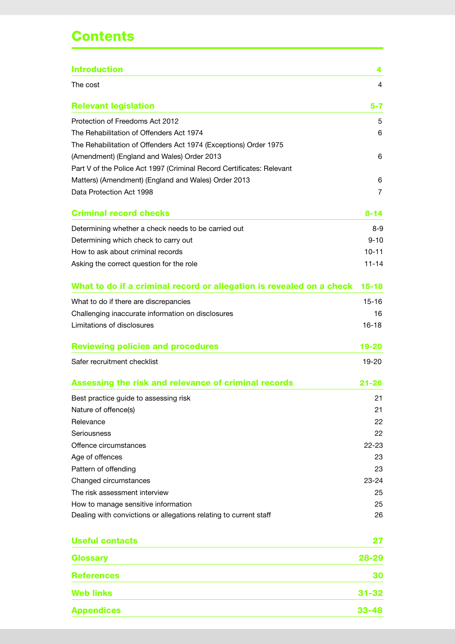# **Contents**

| The cost<br><b>Relevant legislation</b><br>Protection of Freedoms Act 2012<br>The Rehabilitation of Offenders Act 1974<br>The Rehabilitation of Offenders Act 1974 (Exceptions) Order 1975<br>(Amendment) (England and Wales) Order 2013<br>Part V of the Police Act 1997 (Criminal Record Certificates: Relevant<br>Matters) (Amendment) (England and Wales) Order 2013<br>Data Protection Act 1998<br><b>Criminal record checks</b><br>Determining whether a check needs to be carried out<br>Determining which check to carry out<br>How to ask about criminal records<br>Asking the correct question for the role<br>What to do if a criminal record or allegation is revealed on a check<br>What to do if there are discrepancies<br>Challenging inaccurate information on disclosures<br>Limitations of disclosures<br><b>Reviewing policies and procedures</b><br>Safer recruitment checklist<br>Assessing the risk and relevance of criminal records<br>Best practice guide to assessing risk<br>Nature of offence(s)<br>Relevance<br>Seriousness<br>Offence circumstances<br>Age of offences<br>Pattern of offending<br>Changed circumstances<br>The risk assessment interview<br>How to manage sensitive information<br>Dealing with convictions or allegations relating to current staff<br><b>Useful contacts</b><br>Glossary<br><b>References</b><br><b>Web links</b><br><b>Appendices</b> | <b>Introduction</b> | 4         |
|---------------------------------------------------------------------------------------------------------------------------------------------------------------------------------------------------------------------------------------------------------------------------------------------------------------------------------------------------------------------------------------------------------------------------------------------------------------------------------------------------------------------------------------------------------------------------------------------------------------------------------------------------------------------------------------------------------------------------------------------------------------------------------------------------------------------------------------------------------------------------------------------------------------------------------------------------------------------------------------------------------------------------------------------------------------------------------------------------------------------------------------------------------------------------------------------------------------------------------------------------------------------------------------------------------------------------------------------------------------------------------------------------------|---------------------|-----------|
|                                                                                                                                                                                                                                                                                                                                                                                                                                                                                                                                                                                                                                                                                                                                                                                                                                                                                                                                                                                                                                                                                                                                                                                                                                                                                                                                                                                                         |                     | 4         |
|                                                                                                                                                                                                                                                                                                                                                                                                                                                                                                                                                                                                                                                                                                                                                                                                                                                                                                                                                                                                                                                                                                                                                                                                                                                                                                                                                                                                         |                     | 5-7       |
|                                                                                                                                                                                                                                                                                                                                                                                                                                                                                                                                                                                                                                                                                                                                                                                                                                                                                                                                                                                                                                                                                                                                                                                                                                                                                                                                                                                                         |                     | 5         |
|                                                                                                                                                                                                                                                                                                                                                                                                                                                                                                                                                                                                                                                                                                                                                                                                                                                                                                                                                                                                                                                                                                                                                                                                                                                                                                                                                                                                         |                     | 6         |
|                                                                                                                                                                                                                                                                                                                                                                                                                                                                                                                                                                                                                                                                                                                                                                                                                                                                                                                                                                                                                                                                                                                                                                                                                                                                                                                                                                                                         |                     |           |
|                                                                                                                                                                                                                                                                                                                                                                                                                                                                                                                                                                                                                                                                                                                                                                                                                                                                                                                                                                                                                                                                                                                                                                                                                                                                                                                                                                                                         |                     | 6         |
|                                                                                                                                                                                                                                                                                                                                                                                                                                                                                                                                                                                                                                                                                                                                                                                                                                                                                                                                                                                                                                                                                                                                                                                                                                                                                                                                                                                                         |                     |           |
|                                                                                                                                                                                                                                                                                                                                                                                                                                                                                                                                                                                                                                                                                                                                                                                                                                                                                                                                                                                                                                                                                                                                                                                                                                                                                                                                                                                                         |                     | 6         |
|                                                                                                                                                                                                                                                                                                                                                                                                                                                                                                                                                                                                                                                                                                                                                                                                                                                                                                                                                                                                                                                                                                                                                                                                                                                                                                                                                                                                         |                     | 7         |
|                                                                                                                                                                                                                                                                                                                                                                                                                                                                                                                                                                                                                                                                                                                                                                                                                                                                                                                                                                                                                                                                                                                                                                                                                                                                                                                                                                                                         |                     | $8 - 14$  |
|                                                                                                                                                                                                                                                                                                                                                                                                                                                                                                                                                                                                                                                                                                                                                                                                                                                                                                                                                                                                                                                                                                                                                                                                                                                                                                                                                                                                         |                     | $8-9$     |
|                                                                                                                                                                                                                                                                                                                                                                                                                                                                                                                                                                                                                                                                                                                                                                                                                                                                                                                                                                                                                                                                                                                                                                                                                                                                                                                                                                                                         |                     | $9 - 10$  |
|                                                                                                                                                                                                                                                                                                                                                                                                                                                                                                                                                                                                                                                                                                                                                                                                                                                                                                                                                                                                                                                                                                                                                                                                                                                                                                                                                                                                         |                     | $10 - 11$ |
|                                                                                                                                                                                                                                                                                                                                                                                                                                                                                                                                                                                                                                                                                                                                                                                                                                                                                                                                                                                                                                                                                                                                                                                                                                                                                                                                                                                                         |                     | $11 - 14$ |
|                                                                                                                                                                                                                                                                                                                                                                                                                                                                                                                                                                                                                                                                                                                                                                                                                                                                                                                                                                                                                                                                                                                                                                                                                                                                                                                                                                                                         |                     | $15 - 18$ |
|                                                                                                                                                                                                                                                                                                                                                                                                                                                                                                                                                                                                                                                                                                                                                                                                                                                                                                                                                                                                                                                                                                                                                                                                                                                                                                                                                                                                         |                     | $15-16$   |
|                                                                                                                                                                                                                                                                                                                                                                                                                                                                                                                                                                                                                                                                                                                                                                                                                                                                                                                                                                                                                                                                                                                                                                                                                                                                                                                                                                                                         |                     | 16        |
|                                                                                                                                                                                                                                                                                                                                                                                                                                                                                                                                                                                                                                                                                                                                                                                                                                                                                                                                                                                                                                                                                                                                                                                                                                                                                                                                                                                                         |                     | $16 - 18$ |
|                                                                                                                                                                                                                                                                                                                                                                                                                                                                                                                                                                                                                                                                                                                                                                                                                                                                                                                                                                                                                                                                                                                                                                                                                                                                                                                                                                                                         |                     | 19-20     |
|                                                                                                                                                                                                                                                                                                                                                                                                                                                                                                                                                                                                                                                                                                                                                                                                                                                                                                                                                                                                                                                                                                                                                                                                                                                                                                                                                                                                         |                     | 19-20     |
|                                                                                                                                                                                                                                                                                                                                                                                                                                                                                                                                                                                                                                                                                                                                                                                                                                                                                                                                                                                                                                                                                                                                                                                                                                                                                                                                                                                                         |                     | 21-26     |
|                                                                                                                                                                                                                                                                                                                                                                                                                                                                                                                                                                                                                                                                                                                                                                                                                                                                                                                                                                                                                                                                                                                                                                                                                                                                                                                                                                                                         |                     | 21        |
|                                                                                                                                                                                                                                                                                                                                                                                                                                                                                                                                                                                                                                                                                                                                                                                                                                                                                                                                                                                                                                                                                                                                                                                                                                                                                                                                                                                                         |                     | 21        |
|                                                                                                                                                                                                                                                                                                                                                                                                                                                                                                                                                                                                                                                                                                                                                                                                                                                                                                                                                                                                                                                                                                                                                                                                                                                                                                                                                                                                         |                     | 22        |
|                                                                                                                                                                                                                                                                                                                                                                                                                                                                                                                                                                                                                                                                                                                                                                                                                                                                                                                                                                                                                                                                                                                                                                                                                                                                                                                                                                                                         |                     | 22        |
|                                                                                                                                                                                                                                                                                                                                                                                                                                                                                                                                                                                                                                                                                                                                                                                                                                                                                                                                                                                                                                                                                                                                                                                                                                                                                                                                                                                                         |                     | $22 - 23$ |
|                                                                                                                                                                                                                                                                                                                                                                                                                                                                                                                                                                                                                                                                                                                                                                                                                                                                                                                                                                                                                                                                                                                                                                                                                                                                                                                                                                                                         |                     | 23        |
|                                                                                                                                                                                                                                                                                                                                                                                                                                                                                                                                                                                                                                                                                                                                                                                                                                                                                                                                                                                                                                                                                                                                                                                                                                                                                                                                                                                                         |                     | 23        |
|                                                                                                                                                                                                                                                                                                                                                                                                                                                                                                                                                                                                                                                                                                                                                                                                                                                                                                                                                                                                                                                                                                                                                                                                                                                                                                                                                                                                         |                     | $23 - 24$ |
|                                                                                                                                                                                                                                                                                                                                                                                                                                                                                                                                                                                                                                                                                                                                                                                                                                                                                                                                                                                                                                                                                                                                                                                                                                                                                                                                                                                                         |                     | 25        |
|                                                                                                                                                                                                                                                                                                                                                                                                                                                                                                                                                                                                                                                                                                                                                                                                                                                                                                                                                                                                                                                                                                                                                                                                                                                                                                                                                                                                         |                     | 25        |
|                                                                                                                                                                                                                                                                                                                                                                                                                                                                                                                                                                                                                                                                                                                                                                                                                                                                                                                                                                                                                                                                                                                                                                                                                                                                                                                                                                                                         |                     | 26        |
|                                                                                                                                                                                                                                                                                                                                                                                                                                                                                                                                                                                                                                                                                                                                                                                                                                                                                                                                                                                                                                                                                                                                                                                                                                                                                                                                                                                                         |                     | 27        |
|                                                                                                                                                                                                                                                                                                                                                                                                                                                                                                                                                                                                                                                                                                                                                                                                                                                                                                                                                                                                                                                                                                                                                                                                                                                                                                                                                                                                         |                     | 28-29     |
|                                                                                                                                                                                                                                                                                                                                                                                                                                                                                                                                                                                                                                                                                                                                                                                                                                                                                                                                                                                                                                                                                                                                                                                                                                                                                                                                                                                                         |                     | 30        |
|                                                                                                                                                                                                                                                                                                                                                                                                                                                                                                                                                                                                                                                                                                                                                                                                                                                                                                                                                                                                                                                                                                                                                                                                                                                                                                                                                                                                         |                     | $31 - 32$ |
|                                                                                                                                                                                                                                                                                                                                                                                                                                                                                                                                                                                                                                                                                                                                                                                                                                                                                                                                                                                                                                                                                                                                                                                                                                                                                                                                                                                                         |                     | $33 - 48$ |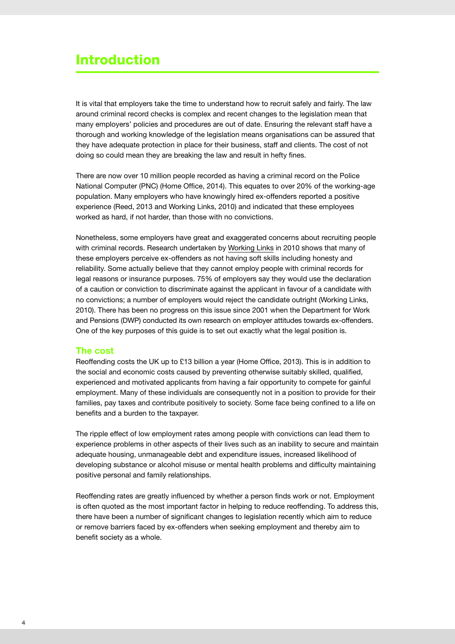# Introduction

It is vital that employers take the time to understand how to recruit safely and fairly. The law around criminal record checks is complex and recent changes to the legislation mean that many employers' policies and procedures are out of date. Ensuring the relevant staff have a thorough and working knowledge of the legislation means organisations can be assured that they have adequate protection in place for their business, staff and clients. The cost of not doing so could mean they are breaking the law and result in hefty fines.

There are now over 10 million people recorded as having a criminal record on the Police National Computer (PNC) (Home Office, 2014). This equates to over 20% of the working-age population. Many employers who have knowingly hired ex-offenders reported a positive experience (Reed, 2013 and Working Links, 2010) and indicated that these employees worked as hard, if not harder, than those with no convictions.

Nonetheless, some employers have great and exaggerated concerns about recruiting people with criminal records. Research undertaken by [Working Links](http://workinglinks.co.uk/pdf/Prejudged%20Tagged%20for%20life.pdf) in 2010 shows that many of these employers perceive ex-offenders as not having soft skills including honesty and reliability. Some actually believe that they cannot employ people with criminal records for legal reasons or insurance purposes. 75% of employers say they would use the declaration of a caution or conviction to discriminate against the applicant in favour of a candidate with no convictions; a number of employers would reject the candidate outright (Working Links, 2010). There has been no progress on this issue since 2001 when the Department for Work and Pensions (DWP) conducted its own research on employer attitudes towards ex-offenders. One of the key purposes of this guide is to set out exactly what the legal position is.

#### **The cost**

Reoffending costs the UK up to £13 billion a year (Home Office, 2013). This is in addition to the social and economic costs caused by preventing otherwise suitably skilled, qualified, experienced and motivated applicants from having a fair opportunity to compete for gainful employment. Many of these individuals are consequently not in a position to provide for their families, pay taxes and contribute positively to society. Some face being confined to a life on benefits and a burden to the taxpayer.

The ripple effect of low employment rates among people with convictions can lead them to experience problems in other aspects of their lives such as an inability to secure and maintain adequate housing, unmanageable debt and expenditure issues, increased likelihood of developing substance or alcohol misuse or mental health problems and difficulty maintaining positive personal and family relationships.

Reoffending rates are greatly influenced by whether a person finds work or not. Employment is often quoted as the most important factor in helping to reduce reoffending. To address this, there have been a number of significant changes to legislation recently which aim to reduce or remove barriers faced by ex-offenders when seeking employment and thereby aim to benefit society as a whole.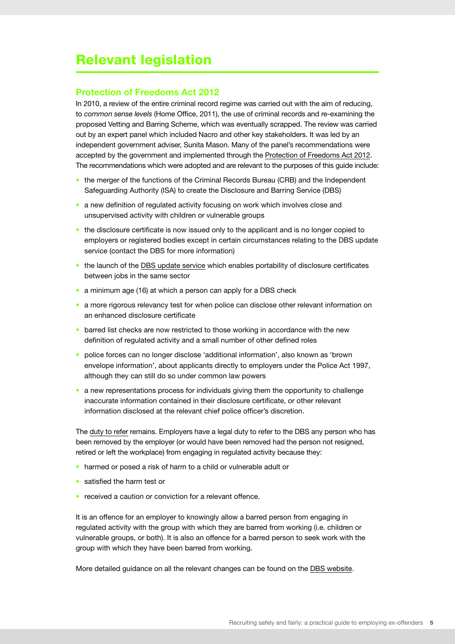# Relevant legislation

#### **Protection of Freedoms Act 2012**

In 2010, a review of the entire criminal record regime was carried out with the aim of reducing, to *common sense levels* (Home Office, 2011), the use of criminal records and re-examining the proposed Vetting and Barring Scheme, which was eventually scrapped. The review was carried out by an expert panel which included Nacro and other key stakeholders. It was led by an independent government adviser, Sunita Mason. Many of the panel's recommendations were accepted by the government and implemented through the [Protection of Freedoms Act 2012](http://www.legislation.gov.uk/ukpga/2012/9/contents/enacted). The recommendations which were adopted and are relevant to the purposes of this guide include:

- the merger of the functions of the Criminal Records Bureau (CRB) and the Independent Safeguarding Authority (ISA) to create the Disclosure and Barring Service (DBS)
- a new definition of regulated activity focusing on work which involves close and unsupervised activity with children or vulnerable groups
- the disclosure certificate is now issued only to the applicant and is no longer copied to employers or registered bodies except in certain circumstances relating to the DBS update service (contact the DBS for more information)
- the launch of the [DBS update service](https://www.gov.uk/dbs-update-service) which enables portability of disclosure certificates between jobs in the same sector
- a minimum age (16) at which a person can apply for a DBS check
- a more rigorous relevancy test for when police can disclose other relevant information on an enhanced disclosure certificate
- barred list checks are now restricted to those working in accordance with the new definition of regulated activity and a small number of other defined roles
- police forces can no longer disclose 'additional information', also known as 'brown envelope information', about applicants directly to employers under the Police Act 1997, although they can still do so under common law powers
- a new representations process for individuals giving them the opportunity to challenge inaccurate information contained in their disclosure certificate, or other relevant information disclosed at the relevant chief police officer's discretion.

The [duty to refer](https://www.gov.uk/government/publications/dbs-referrals-form-and-guidance) remains. Employers have a legal duty to refer to the DBS any person who has been removed by the employer (or would have been removed had the person not resigned, retired or left the workplace) from engaging in regulated activity because they:

- harmed or posed a risk of harm to a child or vulnerable adult or
- satisfied the harm test or
- received a caution or conviction for a relevant offence.

It is an offence for an employer to knowingly allow a barred person from engaging in regulated activity with the group with which they are barred from working (i.e. children or vulnerable groups, or both). It is also an offence for a barred person to seek work with the group with which they have been barred from working.

More detailed guidance on all the relevant changes can be found on the [DBS website.](https://www.gov.uk/disclosure-barring-service-check/overview)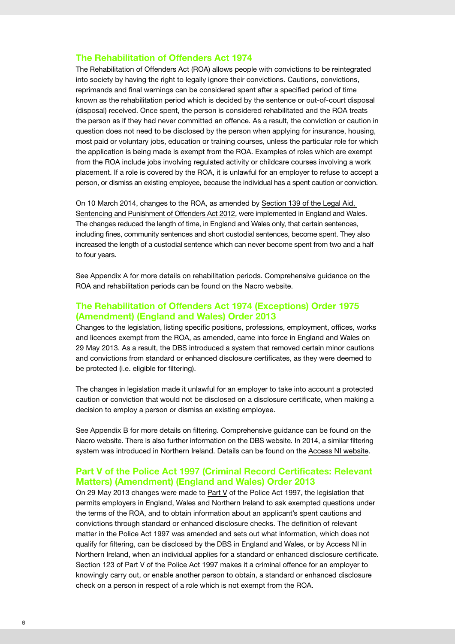#### **The Rehabilitation of Offenders Act 1974**

The Rehabilitation of Offenders Act (ROA) allows people with convictions to be reintegrated into society by having the right to legally ignore their convictions. Cautions, convictions, reprimands and final warnings can be considered spent after a specified period of time known as the rehabilitation period which is decided by the sentence or out-of-court disposal (disposal) received. Once spent, the person is considered rehabilitated and the ROA treats the person as if they had never committed an offence. As a result, the conviction or caution in question does not need to be disclosed by the person when applying for insurance, housing, most paid or voluntary jobs, education or training courses, unless the particular role for which the application is being made is exempt from the ROA. Examples of roles which are exempt from the ROA include jobs involving regulated activity or childcare courses involving a work placement. If a role is covered by the ROA, it is unlawful for an employer to refuse to accept a person, or dismiss an existing employee, because the individual has a spent caution or conviction.

On 10 March 2014, changes to the ROA, as amended by [Section 139 of the Legal Aid,](http://www.legislation.gov.uk/ukpga/2012/10/part/3/chapter/8/enacted)  [Sentencing and Punishment of Offenders Act 2012,](http://www.legislation.gov.uk/ukpga/2012/10/part/3/chapter/8/enacted) were implemented in England and Wales. The changes reduced the length of time, in England and Wales only, that certain sentences, including fines, community sentences and short custodial sentences, become spent. They also increased the length of a custodial sentence which can never become spent from two and a half to four years.

See Appendix A for more details on rehabilitation periods. Comprehensive guidance on the ROA and rehabilitation periods can be found on the [Nacro website.](https://www.nacro.org.uk/wp-content/uploads/2014/05/rehabilitation-of-offenders-act-1974-guide.pdf)

#### **The Rehabilitation of Offenders Act 1974 (Exceptions) Order 1975 (Amendment) (England and Wales) Order 2013**

Changes to the legislation, listing specific positions, professions, employment, offices, works and licences exempt from the ROA, as amended, came into force in England and Wales on 29 May 2013. As a result, the DBS introduced a system that removed certain minor cautions and convictions from standard or enhanced disclosure certificates, as they were deemed to be protected (i.e. eligible for filtering).

The changes in legislation made it unlawful for an employer to take into account a protected caution or conviction that would not be disclosed on a disclosure certificate, when making a decision to employ a person or dismiss an existing employee.

See Appendix B for more details on filtering. Comprehensive guidance can be found on the [Nacro website](https://www.nacro.org.uk/wp-content/uploads/2014/06/practical-guidance-on-dbs-filtering.pdf). There is also further information on the [DBS website.](https://www.gov.uk/government/publications/dbs-filtering-guidance) In 2014, a similar filtering system was introduced in Northern Ireland. Details can be found on the [Access NI website](http://www.nidirect.gov.uk/accessni-criminal-record-checks).

#### **Part V of the Police Act 1997 (Criminal Record Certificates: Relevant Matters) (Amendment) (England and Wales) Order 2013**

On 29 May 2013 changes were made to [Part V](http://www.legislation.gov.uk/uksi/2013/1200/contents/made) of the Police Act 1997, the legislation that permits employers in England, Wales and Northern Ireland to ask exempted questions under the terms of the ROA, and to obtain information about an applicant's spent cautions and convictions through standard or enhanced disclosure checks. The definition of relevant matter in the Police Act 1997 was amended and sets out what information, which does not qualify for filtering, can be disclosed by the DBS in England and Wales, or by Access NI in Northern Ireland, when an individual applies for a standard or enhanced disclosure certificate. Section 123 of Part V of the Police Act 1997 makes it a criminal offence for an employer to knowingly carry out, or enable another person to obtain, a standard or enhanced disclosure check on a person in respect of a role which is not exempt from the ROA.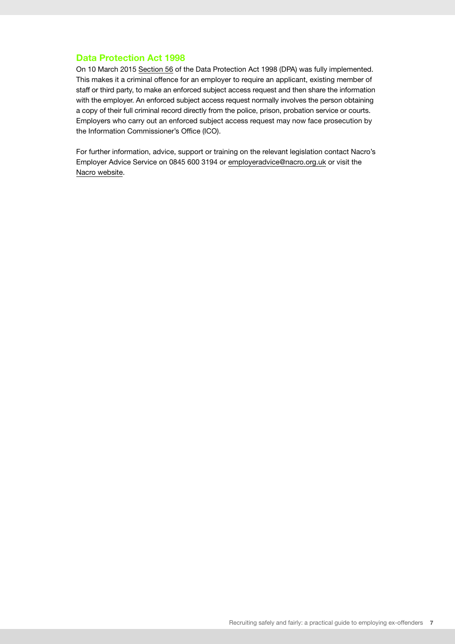#### **Data Protection Act 1998**

On 10 March 2015 [Section 56](http://www.legislation.gov.uk/ukpga/1998/29/section/56) of the Data Protection Act 1998 (DPA) was fully implemented. This makes it a criminal offence for an employer to require an applicant, existing member of staff or third party, to make an enforced subject access request and then share the information with the employer. An enforced subject access request normally involves the person obtaining a copy of their full criminal record directly from the police, prison, probation service or courts. Employers who carry out an enforced subject access request may now face prosecution by the Information Commissioner's Office (ICO).

For further information, advice, support or training on the relevant legislation contact Nacro's Employer Advice Service on 0845 600 3194 or [employeradvice@nacro.org.uk](mailto:employeradvice@nacro.org.uk) or visit the [Nacro website.](https://www.nacro.org.uk/resettlement-advice-service/support-for-employers/asking-about-criminal-records/)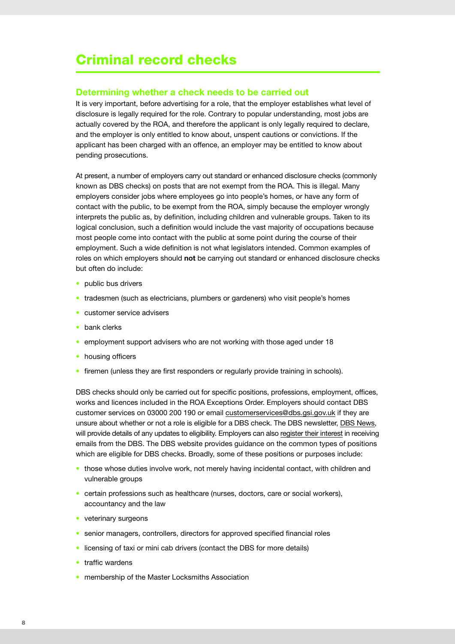# Criminal record checks

#### **Determining whether a check needs to be carried out**

It is very important, before advertising for a role, that the employer establishes what level of disclosure is legally required for the role. Contrary to popular understanding, most jobs are actually covered by the ROA, and therefore the applicant is only legally required to declare, and the employer is only entitled to know about, unspent cautions or convictions. If the applicant has been charged with an offence, an employer may be entitled to know about pending prosecutions.

At present, a number of employers carry out standard or enhanced disclosure checks (commonly known as DBS checks) on posts that are not exempt from the ROA. This is illegal. Many employers consider jobs where employees go into people's homes, or have any form of contact with the public, to be exempt from the ROA, simply because the employer wrongly interprets the public as, by definition, including children and vulnerable groups. Taken to its logical conclusion, such a definition would include the vast majority of occupations because most people come into contact with the public at some point during the course of their employment. Such a wide definition is not what legislators intended. Common examples of roles on which employers should **not** be carrying out standard or enhanced disclosure checks but often do include:

- public bus drivers
- tradesmen (such as electricians, plumbers or gardeners) who visit people's homes
- customer service advisers
- bank clerks
- employment support advisers who are not working with those aged under 18
- housing officers
- firemen (unless they are first responders or regularly provide training in schools).

DBS checks should only be carried out for specific positions, professions, employment, offices, works and licences included in the ROA Exceptions Order. Employers should contact DBS customer services on 03000 200 190 or email [customerservices@dbs.gsi.gov.uk](mailto:customerservices@dbs.gsi.gov.uk) if they are unsure about whether or not a role is eligible for a DBS check. The DBS newsletter, [DBS News](https://www.gov.uk/government/collections/dbs-news--2), will provide details of any updates to eligibility. Employers can also [register their interest](https://qbaseprojects.co.uk/public/dbs-subscriber.asp) in receiving emails from the DBS. The DBS website provides guidance on the common types of positions which are eligible for DBS checks. Broadly, some of these positions or purposes include:

- those whose duties involve work, not merely having incidental contact, with children and vulnerable groups
- certain professions such as healthcare (nurses, doctors, care or social workers), accountancy and the law
- veterinary surgeons
- senior managers, controllers, directors for approved specified financial roles
- licensing of taxi or mini cab drivers (contact the DBS for more details)
- traffic wardens
- membership of the Master Locksmiths Association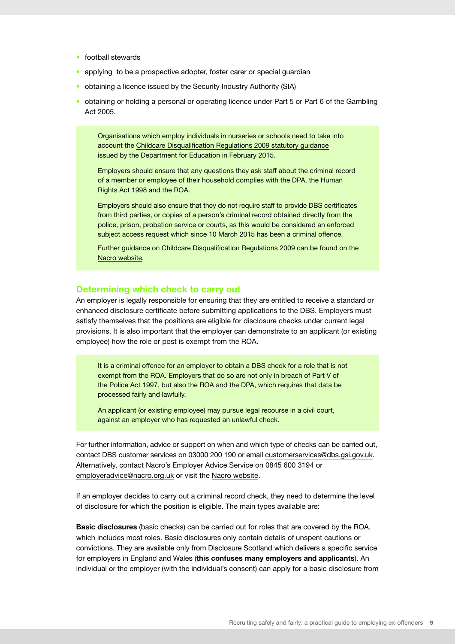- football stewards
- applying to be a prospective adopter, foster carer or special guardian
- obtaining a licence issued by the Security Industry Authority (SIA)
- obtaining or holding a personal or operating licence under Part 5 or Part 6 of the Gambling Act 2005.

Organisations which employ individuals in nurseries or schools need to take into account the [Childcare Disqualification Regulations 2009 statutory guidance](https://www.gov.uk/government/publications/disqualification-under-the-childcare-act-2006) issued by the Department for Education in February 2015.

Employers should ensure that any questions they ask staff about the criminal record of a member or employee of their household complies with the DPA, the Human Rights Act 1998 and the ROA.

Employers should also ensure that they do not require staff to provide DBS certificates from third parties, or copies of a person's criminal record obtained directly from the police, prison, probation service or courts, as this would be considered an enforced subject access request which since 10 March 2015 has been a criminal offence.

Further guidance on Childcare Disqualification Regulations 2009 can be found on the [Nacro website.](https://www.nacro.org.uk/resettlement-advice-service/support-for-individuals/jobs-and-volunteering/how-different-sectors-deal-with-job-applications-from-people-with-criminal-records/)

#### **Determining which check to carry out**

An employer is legally responsible for ensuring that they are entitled to receive a standard or enhanced disclosure certificate before submitting applications to the DBS. Employers must satisfy themselves that the positions are eligible for disclosure checks under current legal provisions. It is also important that the employer can demonstrate to an applicant (or existing employee) how the role or post is exempt from the ROA.

It is a criminal offence for an employer to obtain a DBS check for a role that is not exempt from the ROA. Employers that do so are not only in breach of Part V of the Police Act 1997, but also the ROA and the DPA, which requires that data be processed fairly and lawfully.

An applicant (or existing employee) may pursue legal recourse in a civil court, against an employer who has requested an unlawful check.

For further information, advice or support on when and which type of checks can be carried out, contact DBS customer services on 03000 200 190 or email [customerservices@dbs.gsi.gov.uk.](mailto:customerservices@dbs.gsi.gov.uk) Alternatively, contact Nacro's Employer Advice Service on 0845 600 3194 or [employeradvice@nacro.org.uk](mailto:employeradvice@nacro.org.uk) or visit the [Nacro website](https://www.nacro.org.uk/resettlement-advice-service/support-for-individuals/jobs-and-volunteering/how-different-sectors-deal-with-job-applications-from-people-with-criminal-records/).

If an employer decides to carry out a criminal record check, they need to determine the level of disclosure for which the position is eligible. The main types available are:

**Basic disclosures** (basic checks) can be carried out for roles that are covered by the ROA, which includes most roles. Basic disclosures only contain details of unspent cautions or convictions. They are available only from [Disclosure Scotland](http://www.disclosurescotland.co.uk/) which delivers a specific service for employers in England and Wales (**this confuses many employers and applicants**). An individual or the employer (with the individual's consent) can apply for a basic disclosure from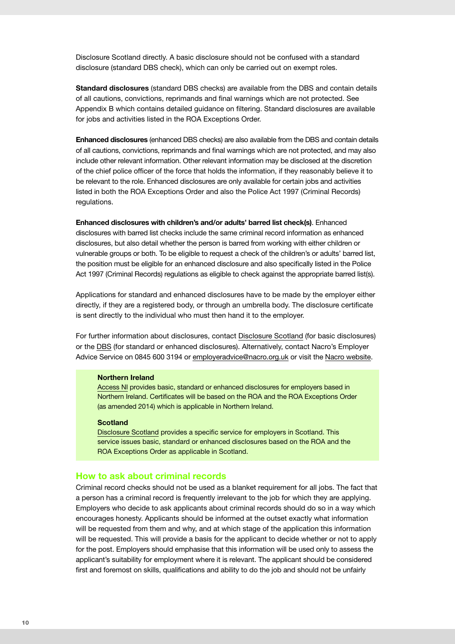Disclosure Scotland directly. A basic disclosure should not be confused with a standard disclosure (standard DBS check), which can only be carried out on exempt roles.

**Standard disclosures** (standard DBS checks) are available from the DBS and contain details of all cautions, convictions, reprimands and final warnings which are not protected. See Appendix B which contains detailed guidance on filtering. Standard disclosures are available for jobs and activities listed in the ROA Exceptions Order.

**Enhanced disclosures** (enhanced DBS checks) are also available from the DBS and contain details of all cautions, convictions, reprimands and final warnings which are not protected, and may also include other relevant information. Other relevant information may be disclosed at the discretion of the chief police officer of the force that holds the information, if they reasonably believe it to be relevant to the role. Enhanced disclosures are only available for certain jobs and activities listed in both the ROA Exceptions Order and also the Police Act 1997 (Criminal Records) regulations.

**Enhanced disclosures with children's and/or adults' barred list check(s)**. Enhanced disclosures with barred list checks include the same criminal record information as enhanced disclosures, but also detail whether the person is barred from working with either children or vulnerable groups or both. To be eligible to request a check of the children's or adults' barred list, the position must be eligible for an enhanced disclosure and also specifically listed in the Police Act 1997 (Criminal Records) regulations as eligible to check against the appropriate barred list(s).

Applications for standard and enhanced disclosures have to be made by the employer either directly, if they are a registered body, or through an umbrella body. The disclosure certificate is sent directly to the individual who must then hand it to the employer.

For further information about disclosures, contact [Disclosure Scotland](http://www.disclosurescotland.co.uk/) (for basic disclosures) or the [DBS](https://www.gov.uk/disclosure-barring-service-check/overview) (for standard or enhanced disclosures). Alternatively, contact Nacro's Employer Advice Service on 0845 600 3194 or [employeradvice@nacro.org.uk](mailto:employeradvice@nacro.org.uk) or visit the [Nacro website](https://www.nacro.org.uk/resettlement-advice-service/support-for-individuals/jobs-and-volunteering/how-different-sectors-deal-with-job-applications-from-people-with-criminal-records/).

#### **Northern Ireland**

[Access NI](http://www.nidirect.gov.uk/) provides basic, standard or enhanced disclosures for employers based in Northern Ireland. Certificates will be based on the ROA and the ROA Exceptions Order (as amended 2014) which is applicable in Northern Ireland.

#### **Scotland**

[Disclosure Scotland](http://www.disclosurescotland.co.uk/) provides a specific service for employers in Scotland. This service issues basic, standard or enhanced disclosures based on the ROA and the ROA Exceptions Order as applicable in Scotland.

#### **How to ask about criminal records**

Criminal record checks should not be used as a blanket requirement for all jobs. The fact that a person has a criminal record is frequently irrelevant to the job for which they are applying. Employers who decide to ask applicants about criminal records should do so in a way which encourages honesty. Applicants should be informed at the outset exactly what information will be requested from them and why, and at which stage of the application this information will be requested. This will provide a basis for the applicant to decide whether or not to apply for the post. Employers should emphasise that this information will be used only to assess the applicant's suitability for employment where it is relevant. The applicant should be considered first and foremost on skills, qualifications and ability to do the job and should not be unfairly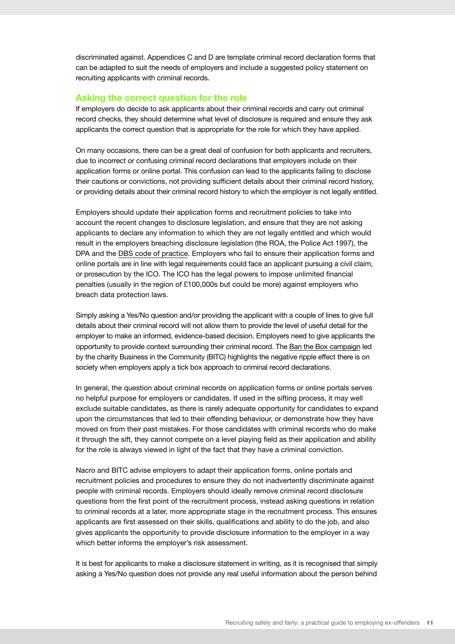discriminated against. Appendices C and D are template criminal record declaration forms that can be adapted to suit the needs of employers and include a suggested policy statement on recruiting applicants with criminal records.

#### **Asking the correct question for the role**

If employers do decide to ask applicants about their criminal records and carry out criminal record checks, they should determine what level of disclosure is required and ensure they ask applicants the correct question that is appropriate for the role for which they have applied.

On many occasions, there can be a great deal of confusion for both applicants and recruiters, due to incorrect or confusing criminal record declarations that employers include on their application forms or online portal. This confusion can lead to the applicants failing to disclose their cautions or convictions, not providing sufficient details about their criminal record history, or providing details about their criminal record history to which the employer is not legally entitled.

Employers should update their application forms and recruitment policies to take into account the recent changes to disclosure legislation, and ensure that they are not asking applicants to declare any information to which they are not legally entitled and which would result in the employers breaching disclosure legislation (the ROA, the Police Act 1997), the DPA and the [DBS code of practice.](https://www.gov.uk/government/publications/dbs-code-of-practice) Employers who fail to ensure their application forms and online portals are in line with legal requirements could face an applicant pursuing a civil claim, or prosecution by the ICO. The ICO has the legal powers to impose unlimited financial penalties (usually in the region of £100,000s but could be more) against employers who breach data protection laws.

Simply asking a Yes/No question and/or providing the applicant with a couple of lines to give full details about their criminal record will not allow them to provide the level of useful detail for the employer to make an informed, evidence-based decision. Employers need to give applicants the opportunity to provide context surrounding their criminal record. The [Ban the Box campaign](http://www.bitc.org.uk/programmes/ban-box?gclid=CLG635GqkL8CFWkOwwod4X0Arw) led by the charity Business in the Community (BITC) highlights the negative ripple effect there is on society when employers apply a tick box approach to criminal record declarations.

In general, the question about criminal records on application forms or online portals serves no helpful purpose for employers or candidates. If used in the sifting process, it may well exclude suitable candidates, as there is rarely adequate opportunity for candidates to expand upon the circumstances that led to their offending behaviour, or demonstrate how they have moved on from their past mistakes. For those candidates with criminal records who do make it through the sift, they cannot compete on a level playing field as their application and ability for the role is always viewed in light of the fact that they have a criminal conviction.

Nacro and BITC advise employers to adapt their application forms, online portals and recruitment policies and procedures to ensure they do not inadvertently discriminate against people with criminal records. Employers should ideally remove criminal record disclosure questions from the first point of the recruitment process, instead asking questions in relation to criminal records at a later, more appropriate stage in the recruitment process. This ensures applicants are first assessed on their skills, qualifications and ability to do the job, and also gives applicants the opportunity to provide disclosure information to the employer in a way which better informs the employer's risk assessment.

It is best for applicants to make a disclosure statement in writing, as it is recognised that simply asking a Yes/No question does not provide any real useful information about the person behind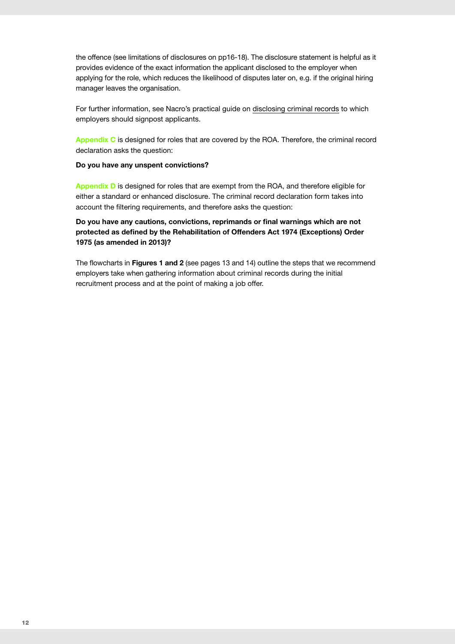the offence (see limitations of disclosures on pp16-18). The disclosure statement is helpful as it provides evidence of the exact information the applicant disclosed to the employer when applying for the role, which reduces the likelihood of disputes later on, e.g. if the original hiring manager leaves the organisation.

For further information, see Nacro's practical guide on [disclosing criminal records](https://www.nacro.org.uk/wp-content/uploads/2014/06/disclosing-criminal-records-a-nacro-guide.pdf) to which employers should signpost applicants.

**Appendix C** is designed for roles that are covered by the ROA. Therefore, the criminal record declaration asks the question:

#### **Do you have any unspent convictions?**

**Appendix D** is designed for roles that are exempt from the ROA, and therefore eligible for either a standard or enhanced disclosure. The criminal record declaration form takes into account the filtering requirements, and therefore asks the question:

**Do you have any cautions, convictions, reprimands or final warnings which are not protected as defined by the Rehabilitation of Offenders Act 1974 (Exceptions) Order 1975 (as amended in 2013)?** 

The flowcharts in **Figures 1 and 2** (see pages 13 and 14) outline the steps that we recommend employers take when gathering information about criminal records during the initial recruitment process and at the point of making a job offer.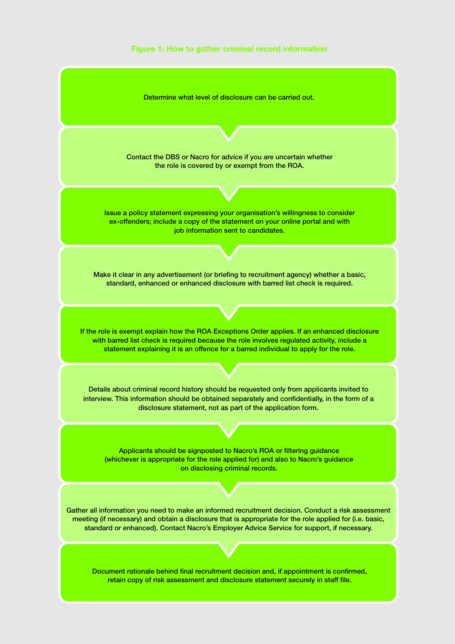

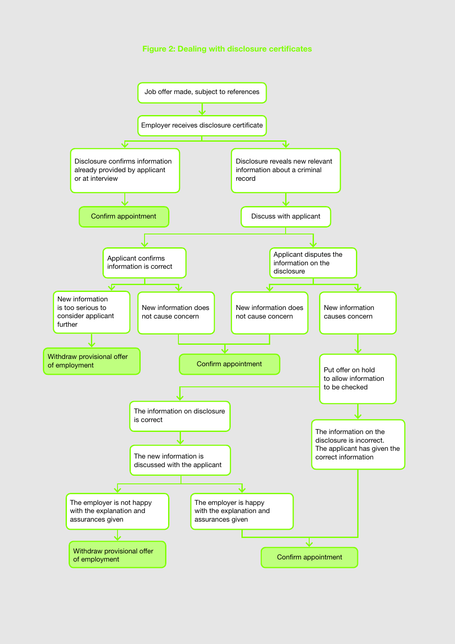#### **Figure 2: Dealing with disclosure certificates**

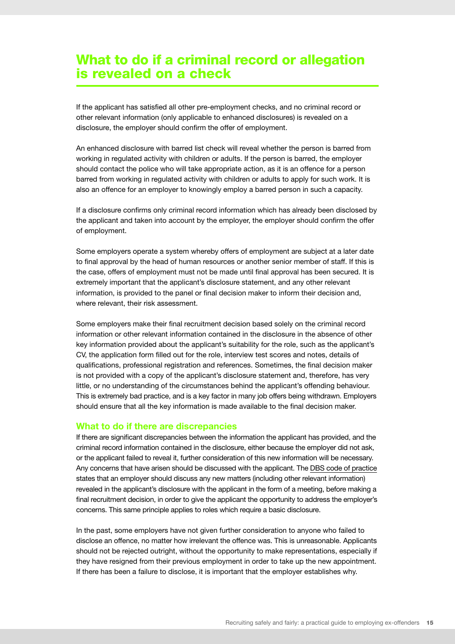# What to do if a criminal record or allegation is revealed on a check

If the applicant has satisfied all other pre-employment checks, and no criminal record or other relevant information (only applicable to enhanced disclosures) is revealed on a disclosure, the employer should confirm the offer of employment.

An enhanced disclosure with barred list check will reveal whether the person is barred from working in regulated activity with children or adults. If the person is barred, the employer should contact the police who will take appropriate action, as it is an offence for a person barred from working in regulated activity with children or adults to apply for such work. It is also an offence for an employer to knowingly employ a barred person in such a capacity.

If a disclosure confirms only criminal record information which has already been disclosed by the applicant and taken into account by the employer, the employer should confirm the offer of employment.

Some employers operate a system whereby offers of employment are subject at a later date to final approval by the head of human resources or another senior member of staff. If this is the case, offers of employment must not be made until final approval has been secured. It is extremely important that the applicant's disclosure statement, and any other relevant information, is provided to the panel or final decision maker to inform their decision and, where relevant, their risk assessment.

Some employers make their final recruitment decision based solely on the criminal record information or other relevant information contained in the disclosure in the absence of other key information provided about the applicant's suitability for the role, such as the applicant's CV, the application form filled out for the role, interview test scores and notes, details of qualifications, professional registration and references. Sometimes, the final decision maker is not provided with a copy of the applicant's disclosure statement and, therefore, has very little, or no understanding of the circumstances behind the applicant's offending behaviour. This is extremely bad practice, and is a key factor in many job offers being withdrawn. Employers should ensure that all the key information is made available to the final decision maker.

#### **What to do if there are discrepancies**

If there are significant discrepancies between the information the applicant has provided, and the criminal record information contained in the disclosure, either because the employer did not ask, or the applicant failed to reveal it, further consideration of this new information will be necessary. Any concerns that have arisen should be discussed with the applicant. The [DBS code of practice](https://www.gov.uk/government/publications/dbs-code-of-practice) states that an employer should discuss any new matters (including other relevant information) revealed in the applicant's disclosure with the applicant in the form of a meeting, before making a final recruitment decision, in order to give the applicant the opportunity to address the employer's concerns. This same principle applies to roles which require a basic disclosure.

In the past, some employers have not given further consideration to anyone who failed to disclose an offence, no matter how irrelevant the offence was. This is unreasonable. Applicants should not be rejected outright, without the opportunity to make representations, especially if they have resigned from their previous employment in order to take up the new appointment. If there has been a failure to disclose, it is important that the employer establishes why.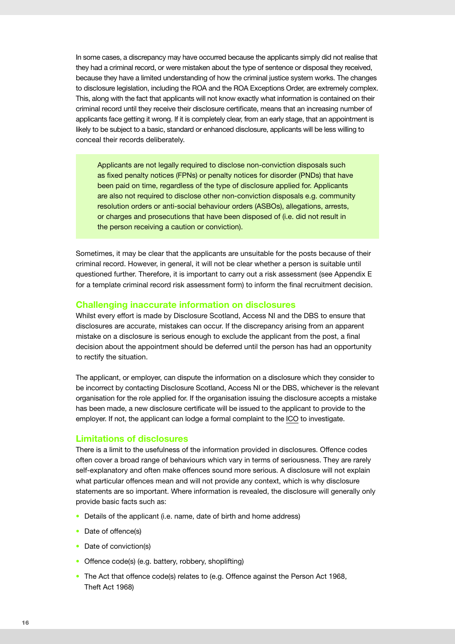In some cases, a discrepancy may have occurred because the applicants simply did not realise that they had a criminal record, or were mistaken about the type of sentence or disposal they received, because they have a limited understanding of how the criminal justice system works. The changes to disclosure legislation, including the ROA and the ROA Exceptions Order, are extremely complex. This, along with the fact that applicants will not know exactly what information is contained on their criminal record until they receive their disclosure certificate, means that an increasing number of applicants face getting it wrong. If it is completely clear, from an early stage, that an appointment is likely to be subject to a basic, standard or enhanced disclosure, applicants will be less willing to conceal their records deliberately.

Applicants are not legally required to disclose non-conviction disposals such as fixed penalty notices (FPNs) or penalty notices for disorder (PNDs) that have been paid on time, regardless of the type of disclosure applied for. Applicants are also not required to disclose other non-conviction disposals e.g. community resolution orders or anti-social behaviour orders (ASBOs), allegations, arrests, or charges and prosecutions that have been disposed of (i.e. did not result in the person receiving a caution or conviction).

Sometimes, it may be clear that the applicants are unsuitable for the posts because of their criminal record. However, in general, it will not be clear whether a person is suitable until questioned further. Therefore, it is important to carry out a risk assessment (see Appendix E for a template criminal record risk assessment form) to inform the final recruitment decision.

#### **Challenging inaccurate information on disclosures**

Whilst every effort is made by Disclosure Scotland, Access NI and the DBS to ensure that disclosures are accurate, mistakes can occur. If the discrepancy arising from an apparent mistake on a disclosure is serious enough to exclude the applicant from the post, a final decision about the appointment should be deferred until the person has had an opportunity to rectify the situation.

The applicant, or employer, can dispute the information on a disclosure which they consider to be incorrect by contacting Disclosure Scotland, Access NI or the DBS, whichever is the relevant organisation for the role applied for. If the organisation issuing the disclosure accepts a mistake has been made, a new disclosure certificate will be issued to the applicant to provide to the employer. If not, the applicant can lodge a formal complaint to the [ICO](http://ico.org.uk/concerns) to investigate.

#### **Limitations of disclosures**

There is a limit to the usefulness of the information provided in disclosures. Offence codes often cover a broad range of behaviours which vary in terms of seriousness. They are rarely self-explanatory and often make offences sound more serious. A disclosure will not explain what particular offences mean and will not provide any context, which is why disclosure statements are so important. Where information is revealed, the disclosure will generally only provide basic facts such as:

- Details of the applicant (i.e. name, date of birth and home address)
- Date of offence(s)
- Date of conviction(s)
- Offence code(s) (e.g. battery, robbery, shoplifting)
- The Act that offence code(s) relates to (e.g. Offence against the Person Act 1968, Theft Act 1968)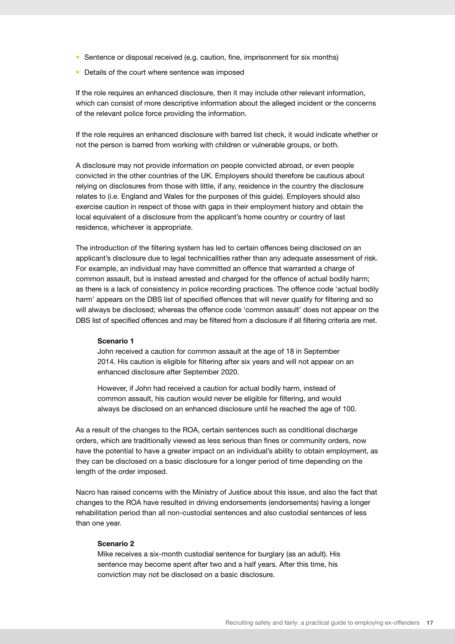- Sentence or disposal received (e.g. caution, fine, imprisonment for six months)
- Details of the court where sentence was imposed

If the role requires an enhanced disclosure, then it may include other relevant information, which can consist of more descriptive information about the alleged incident or the concerns of the relevant police force providing the information.

If the role requires an enhanced disclosure with barred list check, it would indicate whether or not the person is barred from working with children or vulnerable groups, or both.

A disclosure may not provide information on people convicted abroad, or even people convicted in the other countries of the UK. Employers should therefore be cautious about relying on disclosures from those with little, if any, residence in the country the disclosure relates to (i.e. England and Wales for the purposes of this guide). Employers should also exercise caution in respect of those with gaps in their employment history and obtain the local equivalent of a disclosure from the applicant's home country or country of last residence, whichever is appropriate.

The introduction of the filtering system has led to certain offences being disclosed on an applicant's disclosure due to legal technicalities rather than any adequate assessment of risk. For example, an individual may have committed an offence that warranted a charge of common assault, but is instead arrested and charged for the offence of actual bodily harm; as there is a lack of consistency in police recording practices. The offence code 'actual bodily harm' appears on the DBS list of specified offences that will never qualify for filtering and so will always be disclosed; whereas the offence code 'common assault' does not appear on the DBS list of specified offences and may be filtered from a disclosure if all filtering criteria are met.

#### **Scenario 1**

John received a caution for common assault at the age of 18 in September 2014. His caution is eligible for filtering after six years and will not appear on an enhanced disclosure after September 2020.

However, if John had received a caution for actual bodily harm, instead of common assault, his caution would never be eligible for filtering, and would always be disclosed on an enhanced disclosure until he reached the age of 100.

As a result of the changes to the ROA, certain sentences such as conditional discharge orders, which are traditionally viewed as less serious than fines or community orders, now have the potential to have a greater impact on an individual's ability to obtain employment, as they can be disclosed on a basic disclosure for a longer period of time depending on the length of the order imposed.

Nacro has raised concerns with the Ministry of Justice about this issue, and also the fact that changes to the ROA have resulted in driving endorsements (endorsements) having a longer rehabilitation period than all non-custodial sentences and also custodial sentences of less than one year.

#### **Scenario 2**

Mike receives a six-month custodial sentence for burglary (as an adult). His sentence may become spent after two and a half years. After this time, his conviction may not be disclosed on a basic disclosure.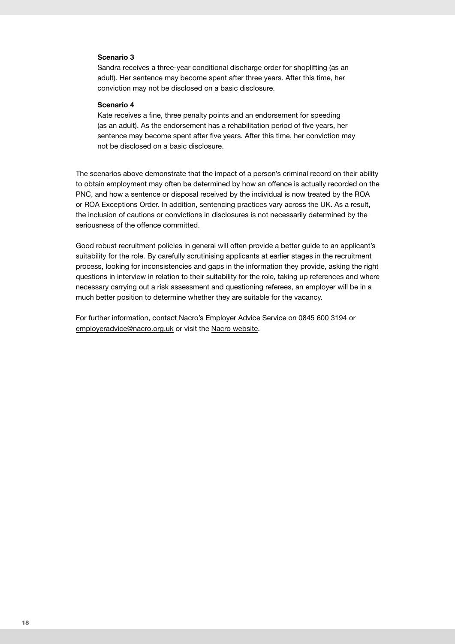#### **Scenario 3**

Sandra receives a three-year conditional discharge order for shoplifting (as an adult). Her sentence may become spent after three years. After this time, her conviction may not be disclosed on a basic disclosure.

#### **Scenario 4**

Kate receives a fine, three penalty points and an endorsement for speeding (as an adult). As the endorsement has a rehabilitation period of five years, her sentence may become spent after five years. After this time, her conviction may not be disclosed on a basic disclosure.

The scenarios above demonstrate that the impact of a person's criminal record on their ability to obtain employment may often be determined by how an offence is actually recorded on the PNC, and how a sentence or disposal received by the individual is now treated by the ROA or ROA Exceptions Order. In addition, sentencing practices vary across the UK. As a result, the inclusion of cautions or convictions in disclosures is not necessarily determined by the seriousness of the offence committed.

Good robust recruitment policies in general will often provide a better guide to an applicant's suitability for the role. By carefully scrutinising applicants at earlier stages in the recruitment process, looking for inconsistencies and gaps in the information they provide, asking the right questions in interview in relation to their suitability for the role, taking up references and where necessary carrying out a risk assessment and questioning referees, an employer will be in a much better position to determine whether they are suitable for the vacancy.

For further information, contact Nacro's Employer Advice Service on 0845 600 3194 or [employeradvice@nacro.org.uk](mailto:employeradvice@nacro.org.uk) or visit the [Nacro website.](https://www.nacro.org.uk/resettlement-advice-service/support-for-employers/employing-someone-with-a-criminal-record/)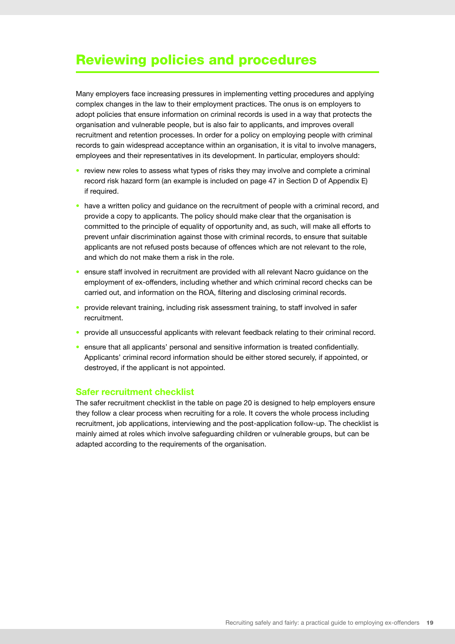# Reviewing policies and procedures

Many employers face increasing pressures in implementing vetting procedures and applying complex changes in the law to their employment practices. The onus is on employers to adopt policies that ensure information on criminal records is used in a way that protects the organisation and vulnerable people, but is also fair to applicants, and improves overall recruitment and retention processes. In order for a policy on employing people with criminal records to gain widespread acceptance within an organisation, it is vital to involve managers, employees and their representatives in its development. In particular, employers should:

- review new roles to assess what types of risks they may involve and complete a criminal record risk hazard form (an example is included on page 47 in Section D of Appendix E) if required.
- have a written policy and quidance on the recruitment of people with a criminal record, and provide a copy to applicants. The policy should make clear that the organisation is committed to the principle of equality of opportunity and, as such, will make all efforts to prevent unfair discrimination against those with criminal records, to ensure that suitable applicants are not refused posts because of offences which are not relevant to the role, and which do not make them a risk in the role.
- ensure staff involved in recruitment are provided with all relevant Nacro guidance on the employment of ex- offenders, including whether and which criminal record checks can be carried out, and information on the ROA, filtering and disclosing criminal records.
- provide relevant training, including risk assessment training, to staff involved in safer recruitment.
- provide all unsuccessful applicants with relevant feedback relating to their criminal record.
- ensure that all applicants' personal and sensitive information is treated confidentially. Applicants' criminal record information should be either stored securely, if appointed, or destroyed, if the applicant is not appointed.

#### **Safer recruitment checklist**

The safer recruitment checklist in the table on page 20 is designed to help employers ensure they follow a clear process when recruiting for a role. It covers the whole process including recruitment, job applications, interviewing and the post-application follow-up. The checklist is mainly aimed at roles which involve safeguarding children or vulnerable groups, but can be adapted according to the requirements of the organisation.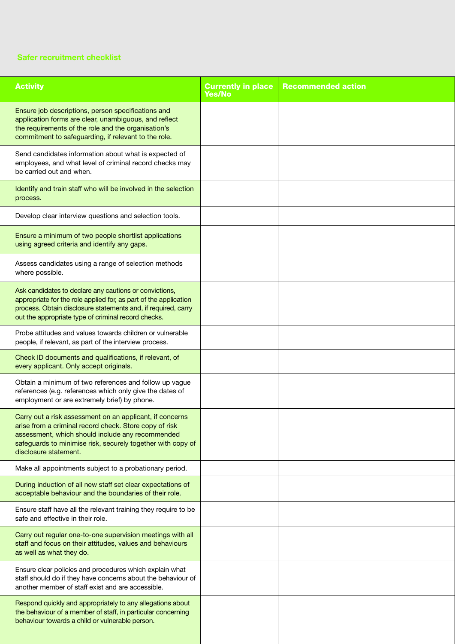#### **Safer recruitment checklist**

| <b>Activity</b>                                                                                                                                                                                                                                                | <b>Currently in place</b><br><b>Yes/No</b> | <b>Recommended action</b> |
|----------------------------------------------------------------------------------------------------------------------------------------------------------------------------------------------------------------------------------------------------------------|--------------------------------------------|---------------------------|
| Ensure job descriptions, person specifications and<br>application forms are clear, unambiguous, and reflect<br>the requirements of the role and the organisation's<br>commitment to safeguarding, if relevant to the role.                                     |                                            |                           |
| Send candidates information about what is expected of<br>employees, and what level of criminal record checks may<br>be carried out and when.                                                                                                                   |                                            |                           |
| Identify and train staff who will be involved in the selection<br>process.                                                                                                                                                                                     |                                            |                           |
| Develop clear interview questions and selection tools.                                                                                                                                                                                                         |                                            |                           |
| Ensure a minimum of two people shortlist applications<br>using agreed criteria and identify any gaps.                                                                                                                                                          |                                            |                           |
| Assess candidates using a range of selection methods<br>where possible.                                                                                                                                                                                        |                                            |                           |
| Ask candidates to declare any cautions or convictions,<br>appropriate for the role applied for, as part of the application<br>process. Obtain disclosure statements and, if required, carry<br>out the appropriate type of criminal record checks.             |                                            |                           |
| Probe attitudes and values towards children or vulnerable<br>people, if relevant, as part of the interview process.                                                                                                                                            |                                            |                           |
| Check ID documents and qualifications, if relevant, of<br>every applicant. Only accept originals.                                                                                                                                                              |                                            |                           |
| Obtain a minimum of two references and follow up vague<br>references (e.g. references which only give the dates of<br>employment or are extremely brief) by phone.                                                                                             |                                            |                           |
| Carry out a risk assessment on an applicant, if concerns<br>arise from a criminal record check. Store copy of risk<br>assessment, which should include any recommended<br>safeguards to minimise risk, securely together with copy of<br>disclosure statement. |                                            |                           |
| Make all appointments subject to a probationary period.                                                                                                                                                                                                        |                                            |                           |
| During induction of all new staff set clear expectations of<br>acceptable behaviour and the boundaries of their role.                                                                                                                                          |                                            |                           |
| Ensure staff have all the relevant training they require to be<br>safe and effective in their role.                                                                                                                                                            |                                            |                           |
| Carry out regular one-to-one supervision meetings with all<br>staff and focus on their attitudes, values and behaviours<br>as well as what they do.                                                                                                            |                                            |                           |
| Ensure clear policies and procedures which explain what<br>staff should do if they have concerns about the behaviour of<br>another member of staff exist and are accessible.                                                                                   |                                            |                           |
| Respond quickly and appropriately to any allegations about<br>the behaviour of a member of staff, in particular concerning<br>behaviour towards a child or vulnerable person.                                                                                  |                                            |                           |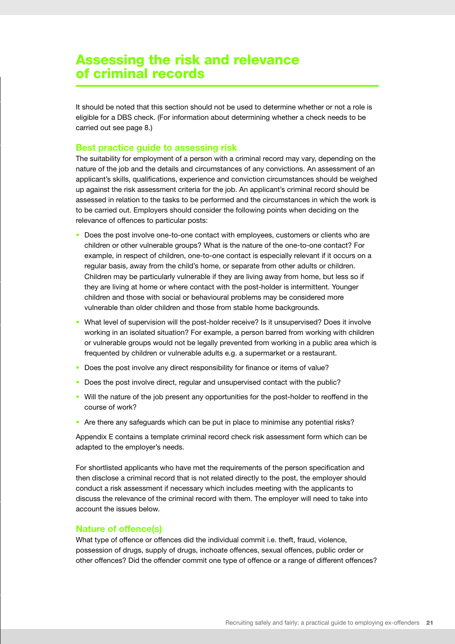# Assessing the risk and relevance of criminal records

It should be noted that this section should not be used to determine whether or not a role is eligible for a DBS check. (For information about determining whether a check needs to be carried out see page 8.)

#### **Best practice guide to assessing risk**

The suitability for employment of a person with a criminal record may vary, depending on the nature of the job and the details and circumstances of any convictions. An assessment of an applicant's skills, qualifications, experience and conviction circumstances should be weighed up against the risk assessment criteria for the job. An applicant's criminal record should be assessed in relation to the tasks to be performed and the circumstances in which the work is to be carried out. Employers should consider the following points when deciding on the relevance of offences to particular posts:

- Does the post involve one-to-one contact with employees, customers or clients who are children or other vulnerable groups? What is the nature of the one-to-one contact? For example, in respect of children, one-to-one contact is especially relevant if it occurs on a regular basis, away from the child's home, or separate from other adults or children. Children may be particularly vulnerable if they are living away from home, but less so if they are living at home or where contact with the post-holder is intermittent. Younger children and those with social or behavioural problems may be considered more vulnerable than older children and those from stable home backgrounds.
- What level of supervision will the post-holder receive? Is it unsupervised? Does it involve working in an isolated situation? For example, a person barred from working with children or vulnerable groups would not be legally prevented from working in a public area which is frequented by children or vulnerable adults e.g. a supermarket or a restaurant.
- Does the post involve any direct responsibility for finance or items of value?
- Does the post involve direct, regular and unsupervised contact with the public?
- Will the nature of the job present any opportunities for the post-holder to reoffend in the course of work?
- Are there any safeguards which can be put in place to minimise any potential risks?

Appendix E contains a template criminal record check risk assessment form which can be adapted to the employer's needs.

For shortlisted applicants who have met the requirements of the person specification and then disclose a criminal record that is not related directly to the post, the employer should conduct a risk assessment if necessary which includes meeting with the applicants to discuss the relevance of the criminal record with them. The employer will need to take into account the issues below.

#### **Nature of offence(s)**

What type of offence or offences did the individual commit i.e. theft, fraud, violence, possession of drugs, supply of drugs, inchoate offences, sexual offences, public order or other offences? Did the offender commit one type of offence or a range of different offences?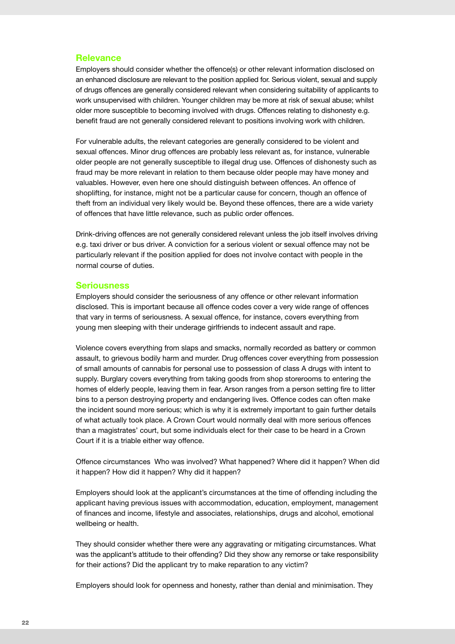#### **Relevance**

Employers should consider whether the offence(s) or other relevant information disclosed on an enhanced disclosure are relevant to the position applied for. Serious violent, sexual and supply of drugs offences are generally considered relevant when considering suitability of applicants to work unsupervised with children. Younger children may be more at risk of sexual abuse; whilst older more susceptible to becoming involved with drugs. Offences relating to dishonesty e.g. benefit fraud are not generally considered relevant to positions involving work with children.

For vulnerable adults, the relevant categories are generally considered to be violent and sexual offences. Minor drug offences are probably less relevant as, for instance, vulnerable older people are not generally susceptible to illegal drug use. Offences of dishonesty such as fraud may be more relevant in relation to them because older people may have money and valuables. However, even here one should distinguish between offences. An offence of shoplifting, for instance, might not be a particular cause for concern, though an offence of theft from an individual very likely would be. Beyond these offences, there are a wide variety of offences that have little relevance, such as public order offences.

Drink-driving offences are not generally considered relevant unless the job itself involves driving e.g. taxi driver or bus driver. A conviction for a serious violent or sexual offence may not be particularly relevant if the position applied for does not involve contact with people in the normal course of duties.

#### **Seriousness**

Employers should consider the seriousness of any offence or other relevant information disclosed. This is important because all offence codes cover a very wide range of offences that vary in terms of seriousness. A sexual offence, for instance, covers everything from young men sleeping with their underage girlfriends to indecent assault and rape.

Violence covers everything from slaps and smacks, normally recorded as battery or common assault, to grievous bodily harm and murder. Drug offences cover everything from possession of small amounts of cannabis for personal use to possession of class A drugs with intent to supply. Burglary covers everything from taking goods from shop storerooms to entering the homes of elderly people, leaving them in fear. Arson ranges from a person setting fire to litter bins to a person destroying property and endangering lives. Offence codes can often make the incident sound more serious; which is why it is extremely important to gain further details of what actually took place. A Crown Court would normally deal with more serious offences than a magistrates' court, but some individuals elect for their case to be heard in a Crown Court if it is a triable either way offence.

Offence circumstances Who was involved? What happened? Where did it happen? When did it happen? How did it happen? Why did it happen?

Employers should look at the applicant's circumstances at the time of offending including the applicant having previous issues with accommodation, education, employment, management of finances and income, lifestyle and associates, relationships, drugs and alcohol, emotional wellbeing or health.

They should consider whether there were any aggravating or mitigating circumstances. What was the applicant's attitude to their offending? Did they show any remorse or take responsibility for their actions? Did the applicant try to make reparation to any victim?

Employers should look for openness and honesty, rather than denial and minimisation. They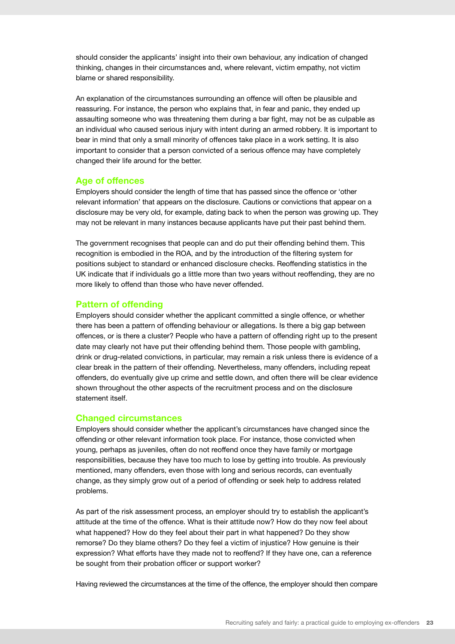should consider the applicants' insight into their own behaviour, any indication of changed thinking, changes in their circumstances and, where relevant, victim empathy, not victim blame or shared responsibility.

An explanation of the circumstances surrounding an offence will often be plausible and reassuring. For instance, the person who explains that, in fear and panic, they ended up assaulting someone who was threatening them during a bar fight, may not be as culpable as an individual who caused serious injury with intent during an armed robbery. It is important to bear in mind that only a small minority of offences take place in a work setting. It is also important to consider that a person convicted of a serious offence may have completely changed their life around for the better.

#### **Age of offences**

Employers should consider the length of time that has passed since the offence or 'other relevant information' that appears on the disclosure. Cautions or convictions that appear on a disclosure may be very old, for example, dating back to when the person was growing up. They may not be relevant in many instances because applicants have put their past behind them.

The government recognises that people can and do put their offending behind them. This recognition is embodied in the ROA, and by the introduction of the filtering system for positions subject to standard or enhanced disclosure checks. Reoffending statistics in the UK indicate that if individuals go a little more than two years without reoffending, they are no more likely to offend than those who have never offended.

#### **Pattern of offending**

Employers should consider whether the applicant committed a single offence, or whether there has been a pattern of offending behaviour or allegations. Is there a big gap between offences, or is there a cluster? People who have a pattern of offending right up to the present date may clearly not have put their offending behind them. Those people with gambling, drink or drug-related convictions, in particular, may remain a risk unless there is evidence of a clear break in the pattern of their offending. Nevertheless, many offenders, including repeat offenders, do eventually give up crime and settle down, and often there will be clear evidence shown throughout the other aspects of the recruitment process and on the disclosure statement itself.

#### **Changed circumstances**

Employers should consider whether the applicant's circumstances have changed since the offending or other relevant information took place. For instance, those convicted when young, perhaps as juveniles, often do not reoffend once they have family or mortgage responsibilities, because they have too much to lose by getting into trouble. As previously mentioned, many offenders, even those with long and serious records, can eventually change, as they simply grow out of a period of offending or seek help to address related problems.

As part of the risk assessment process, an employer should try to establish the applicant's attitude at the time of the offence. What is their attitude now? How do they now feel about what happened? How do they feel about their part in what happened? Do they show remorse? Do they blame others? Do they feel a victim of injustice? How genuine is their expression? What efforts have they made not to reoffend? If they have one, can a reference be sought from their probation officer or support worker?

Having reviewed the circumstances at the time of the offence, the employer should then compare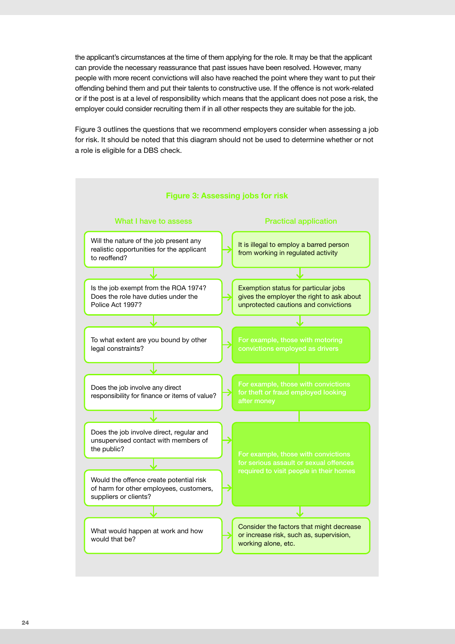the applicant's circumstances at the time of them applying for the role. It may be that the applicant can provide the necessary reassurance that past issues have been resolved. However, many people with more recent convictions will also have reached the point where they want to put their offending behind them and put their talents to constructive use. If the offence is not work-related or if the post is at a level of responsibility which means that the applicant does not pose a risk, the employer could consider recruiting them if in all other respects they are suitable for the job.

Figure 3 outlines the questions that we recommend employers consider when assessing a job for risk. It should be noted that this diagram should not be used to determine whether or not a role is eligible for a DBS check.

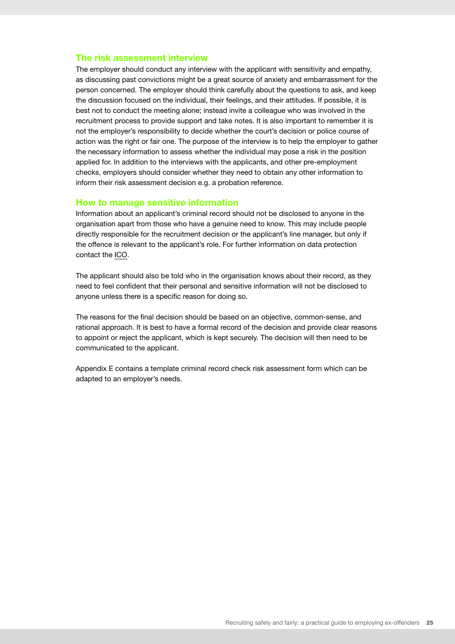#### **The risk assessment interview**

The employer should conduct any interview with the applicant with sensitivity and empathy, as discussing past convictions might be a great source of anxiety and embarrassment for the person concerned. The employer should think carefully about the questions to ask, and keep the discussion focused on the individual, their feelings, and their attitudes. If possible, it is best not to conduct the meeting alone; instead invite a colleague who was involved in the recruitment process to provide support and take notes. It is also important to remember it is not the employer's responsibility to decide whether the court's decision or police course of action was the right or fair one. The purpose of the interview is to help the employer to gather the necessary information to assess whether the individual may pose a risk in the position applied for. In addition to the interviews with the applicants, and other pre-employment checks, employers should consider whether they need to obtain any other information to inform their risk assessment decision e.g. a probation reference.

#### **How to manage sensitive information**

Information about an applicant's criminal record should not be disclosed to anyone in the organisation apart from those who have a genuine need to know. This may include people directly responsible for the recruitment decision or the applicant's line manager, but only if the offence is relevant to the applicant's role. For further information on data protection contact the [ICO](https://ico.org.uk/for-organisations/guide-to-data-protection/).

The applicant should also be told who in the organisation knows about their record, as they need to feel confident that their personal and sensitive information will not be disclosed to anyone unless there is a specific reason for doing so.

The reasons for the final decision should be based on an objective, common-sense, and rational approach. It is best to have a formal record of the decision and provide clear reasons to appoint or reject the applicant, which is kept securely. The decision will then need to be communicated to the applicant.

Appendix E contains a template criminal record check risk assessment form which can be adapted to an employer's needs.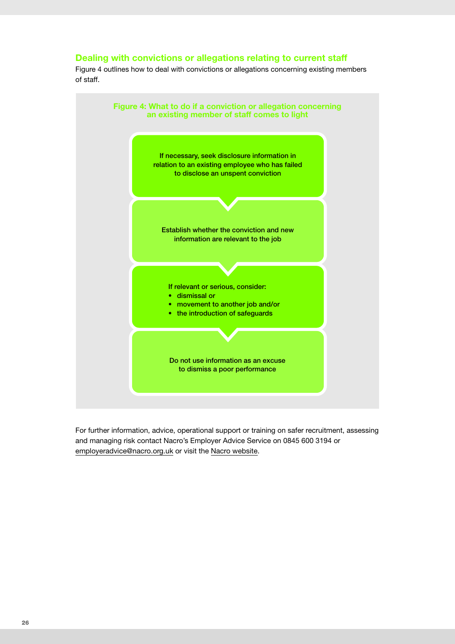#### **Dealing with convictions or allegations relating to current staff**

Figure 4 outlines how to deal with convictions or allegations concerning existing members of staff.



For further information, advice, operational support or training on safer recruitment, assessing and managing risk contact Nacro's Employer Advice Service on 0845 600 3194 or [employeradvice@nacro.org.uk](mailto:employeradvice@nacro.org.uk) or visit the [Nacro website](https://www.nacro.org.uk/resettlement-advice-service/support-for-employers/).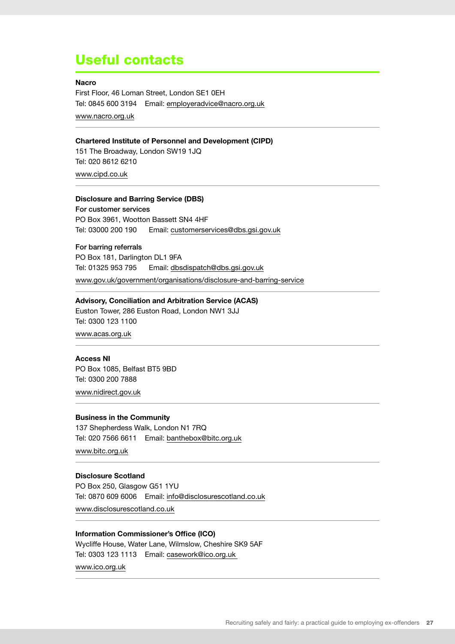# Useful contacts

#### **Nacro**

First Floor, 46 Loman Street, London SE1 0EH Tel: 0845 600 3194 Email: [employeradvice@nacro.org.uk](mailto:employeradvice@nacro.org.uk) [www.nacro.org.uk](http://www.nacro.org.uk) 

#### **Chartered Institute of Personnel and Development (CIPD)**

151 The Broadway, London SW19 1JQ Tel: 020 8612 6210

[www.cipd.co.uk](http://www.cipd.co.uk) 

#### **Disclosure and Barring Service (DBS)**

For customer services PO Box 3961, Wootton Bassett SN4 4HF Tel: 03000 200 190 Email: [customerservices@dbs.gsi.gov.uk](mailto:customerservices%40dbs.gsi.gov.uk?subject=)

For barring referrals PO Box 181, Darlington DL1 9FA Tel: 01325 953 795 Email: [dbsdispatch@dbs.gsi.gov.uk](mailto:dbsdispatch%40dbs.gsi.gov.uk?subject=) [www.gov.uk/government/organisations/disclosure-and-barring-service](http://www.gov.uk/government/organisations/disclosure-and-barring-service)

#### **Advisory, Conciliation and Arbitration Service (ACAS)**

Euston Tower, 286 Euston Road, London NW1 3JJ Tel: 0300 123 1100

[www.acas.org.uk](http://www.acas.org.uk) 

#### **Access NI**

PO Box 1085, Belfast BT5 9BD Tel: 0300 200 7888 [www.nidirect.gov.uk](http://www.nidirect.gov.uk)

#### **Business in the Community**

137 Shepherdess Walk, London N1 7RQ Tel: 020 7566 6611 Email: banthebo[x@bitc.org.uk](mailto:information@bitc.org.uk)

[www.bitc.org.uk](http://www.bitc.org.uk) 

#### **Disclosure Scotland**

PO Box 250, Glasgow G51 1YU Tel: 0870 609 6006 Email: [info@disclosurescotland.co.uk](mailto:info@disclosurescotland.co.uk)

[www.disclosurescotland.co.uk](http://www.disclosurescotland.co.uk)

#### **Information Commissioner's Office (ICO)**

Wycliffe House, Water Lane, Wilmslow, Cheshire SK9 5AF Tel: 0303 123 1113 Email: [casework@ico.org.uk](mailto:casework@ico.org.uk) [www.ico.org.uk](http://www.ico.org.uk)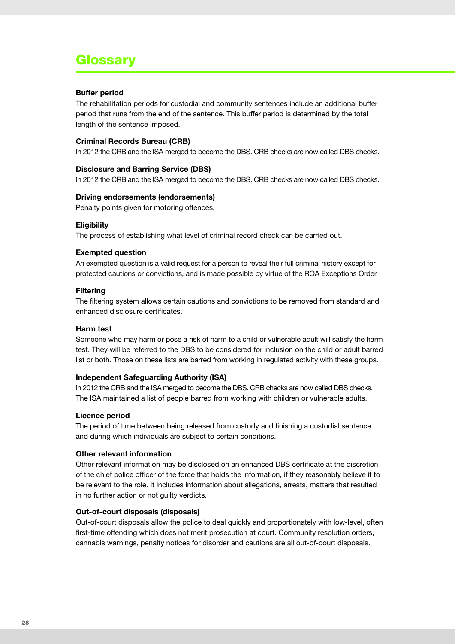# Glossary

#### **Buffer period**

The rehabilitation periods for custodial and community sentences include an additional buffer period that runs from the end of the sentence. This buffer period is determined by the total length of the sentence imposed.

#### **Criminal Records Bureau (CRB)**

In 2012 the CRB and the ISA merged to become the DBS. CRB checks are now called DBS checks.

#### **Disclosure and Barring Service (DBS)**

In 2012 the CRB and the ISA merged to become the DBS. CRB checks are now called DBS checks.

#### **Driving endorsements (endorsements)**

Penalty points given for motoring offences.

#### **Eligibility**

The process of establishing what level of criminal record check can be carried out.

#### **Exempted question**

An exempted question is a valid request for a person to reveal their full criminal history except for protected cautions or convictions, and is made possible by virtue of the ROA Exceptions Order.

#### **Filtering**

The filtering system allows certain cautions and convictions to be removed from standard and enhanced disclosure certificates.

#### **Harm test**

Someone who may harm or pose a risk of harm to a child or vulnerable adult will satisfy the harm test. They will be referred to the DBS to be considered for inclusion on the child or adult barred list or both. Those on these lists are barred from working in regulated activity with these groups.

#### **Independent Safeguarding Authority (ISA)**

In 2012 the CRB and the ISA merged to become the DBS. CRB checks are now called DBS checks. The ISA maintained a list of people barred from working with children or vulnerable adults.

#### **Licence period**

The period of time between being released from custody and finishing a custodial sentence and during which individuals are subject to certain conditions.

#### **Other relevant information**

Other relevant information may be disclosed on an enhanced DBS certificate at the discretion of the chief police officer of the force that holds the information, if they reasonably believe it to be relevant to the role. It includes information about allegations, arrests, matters that resulted in no further action or not guilty verdicts.

#### **Out-of-court disposals (disposals)**

Out-of-court disposals allow the police to deal quickly and proportionately with low-level, often first-time offending which does not merit prosecution at court. Community resolution orders, cannabis warnings, penalty notices for disorder and cautions are all out-of-court disposals.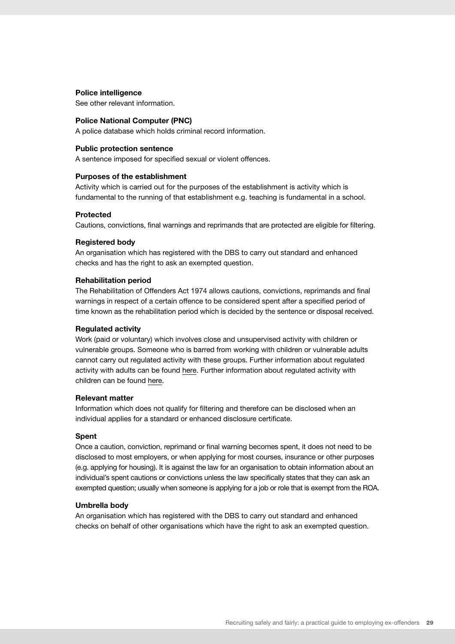#### **Police intelligence**

See other relevant information.

#### **Police National Computer (PNC)**

A police database which holds criminal record information.

#### **Public protection sentence**

A sentence imposed for specified sexual or violent offences.

#### **Purposes of the establishment**

Activity which is carried out for the purposes of the establishment is activity which is fundamental to the running of that establishment e.g. teaching is fundamental in a school.

#### **Protected**

Cautions, convictions, final warnings and reprimands that are protected are eligible for filtering.

#### **Registered body**

An organisation which has registered with the DBS to carry out standard and enhanced checks and has the right to ask an exempted question.

#### **Rehabilitation period**

The Rehabilitation of Offenders Act 1974 allows cautions, convictions, reprimands and final warnings in respect of a certain offence to be considered spent after a specified period of time known as the rehabilitation period which is decided by the sentence or disposal received.

#### **Regulated activity**

Work (paid or voluntary) which involves close and unsupervised activity with children or vulnerable groups. Someone who is barred from working with children or vulnerable adults cannot carry out regulated activity with these groups. Further information about regulated activity with adults can be found [here](https://www.gov.uk/government/publications/new-disclosure-and-barring-services). Further information about regulated activity with children can be found [here](https://www.gov.uk/government/uploads/system/uploads/attachment_data/file/316179/Regulated_Activity_in_relation_to_Children__DfE_.pdf).

#### **Relevant matter**

Information which does not qualify for filtering and therefore can be disclosed when an individual applies for a standard or enhanced disclosure certificate.

#### **Spent**

Once a caution, conviction, reprimand or final warning becomes spent, it does not need to be disclosed to most employers, or when applying for most courses, insurance or other purposes (e.g. applying for housing). It is against the law for an organisation to obtain information about an individual's spent cautions or convictions unless the law specifically states that they can ask an exempted question; usually when someone is applying for a job or role that is exempt from the ROA.

#### **Umbrella body**

An organisation which has registered with the DBS to carry out standard and enhanced checks on behalf of other organisations which have the right to ask an exempted question.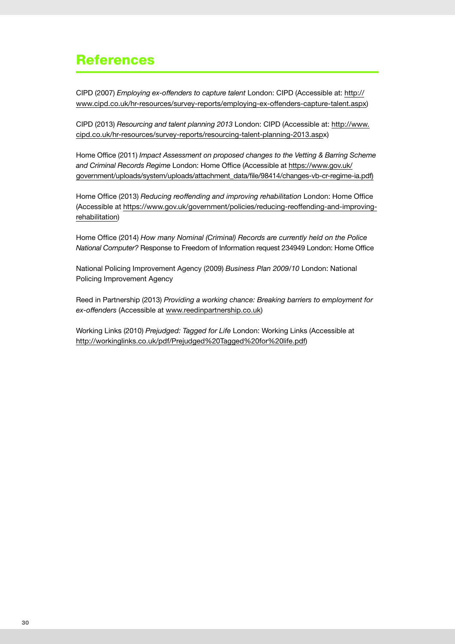# References

CIPD (2007) *Employing ex-offenders to capture talent* London: CIPD (Accessible at: [http://](http://www.cipd.co.uk/hr-resources/survey-reports/employing-ex-offenders-capture-talent.aspx) [www.cipd.co.uk/hr-resources/survey-reports/employing-ex-offenders-capture-talent.aspx\)](http://www.cipd.co.uk/hr-resources/survey-reports/employing-ex-offenders-capture-talent.aspx)

CIPD (2013) *Resourcing and talent planning 2013* London: CIPD (Accessible at: [http://www.](http://www.cipd.co.uk/hr-resources/survey-reports/resourcing-talent-planning-2013.aspx) [cipd.co.uk/hr-resources/survey-reports/resourcing-talent-planning-2013.aspx\)](http://www.cipd.co.uk/hr-resources/survey-reports/resourcing-talent-planning-2013.aspx)

Home Office (2011) *Impact Assessment on proposed changes to the Vetting & Barring Scheme and Criminal Records Regime* London: Home Office (Accessible at [https://www.gov.uk/](https://www.gov.uk/government/uploads/system/uploads/attachment_data/file/98414/changes-vb-cr-regime-ia.pdf) [government/uploads/system/uploads/attachment\\_data/file/98414/changes-vb-cr-regime-ia.pdf](https://www.gov.uk/government/uploads/system/uploads/attachment_data/file/98414/changes-vb-cr-regime-ia.pdf))

Home Office (2013) *Reducing reoffending and improving rehabilitation* London: Home Office (Accessible at [https://www.gov.uk/government/policies/reducing-reoffending-and-improving](https://www.gov.uk/government/policies/reducing-reoffending-and-improving-rehabilitation)[rehabilitation\)](https://www.gov.uk/government/policies/reducing-reoffending-and-improving-rehabilitation)

Home Office (2014) *How many Nominal (Criminal) Records are currently held on the Police National Computer?* Response to Freedom of Information request 234949 London: Home Office

National Policing Improvement Agency (2009) *Business Plan 2009/10* London: National Policing Improvement Agency

Reed in Partnership (2013) *Providing a working chance: Breaking barriers to employment for ex-offenders* (Accessible at www.reedinpartnership.co.uk)

Working Links (2010) *Prejudged: Tagged for Life* London: Working Links (Accessible at [http://workinglinks.co.uk/pdf/Prejudged%20Tagged%20for%20life.pdf\)](http://workinglinks.co.uk/pdf/Prejudged%20Tagged%20for%20life.pdf)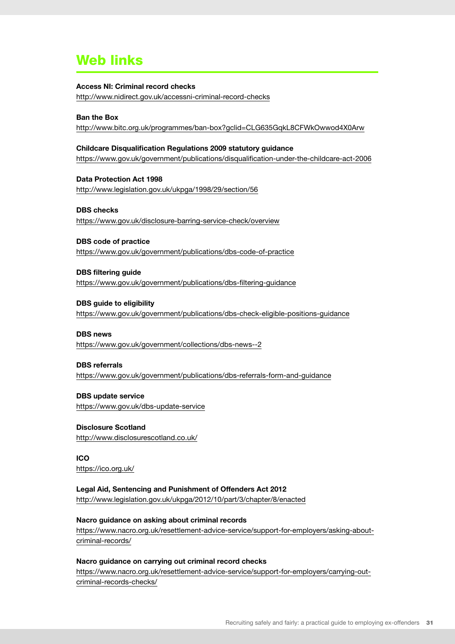# Web links

#### **Access NI: Criminal record checks**

<http://www.nidirect.gov.uk/accessni-criminal-record-checks>

#### **Ban the Box**

<http://www.bitc.org.uk/programmes/ban-box?gclid=CLG635GqkL8CFWkOwwod4X0Arw>

#### **Childcare Disqualification Regulations 2009 statutory guidance**

<https://www.gov.uk/government/publications/disqualification-under-the-childcare-act-2006>

**Data Protection Act 1998**  <http://www.legislation.gov.uk/ukpga/1998/29/section/56>

#### **DBS checks** <https://www.gov.uk/disclosure-barring-service-check/overview>

**DBS code of practice** <https://www.gov.uk/government/publications/dbs-code-of-practice>

**DBS filtering guide** <https://www.gov.uk/government/publications/dbs-filtering-guidance>

**DBS guide to eligibility** <https://www.gov.uk/government/publications/dbs-check-eligible-positions-guidance>

### **DBS news**  <https://www.gov.uk/government/collections/dbs-news--2>

**DBS referrals** <https://www.gov.uk/government/publications/dbs-referrals-form-and-guidance>

#### **DBS update service** <https://www.gov.uk/dbs-update-service>

**Disclosure Scotland** <http://www.disclosurescotland.co.uk/>

**ICO** <https://ico.org.uk/>

#### **Legal Aid, Sentencing and Punishment of Offenders Act 2012** <http://www.legislation.gov.uk/ukpga/2012/10/part/3/chapter/8/enacted>

### **Nacro guidance on asking about criminal records**

[https://www.nacro.org.uk/resettlement-advice-service/support-for-employers/asking-about](https://www.nacro.org.uk/resettlement-advice-service/support-for-employers/asking-about-criminal-records/)[criminal-records/](https://www.nacro.org.uk/resettlement-advice-service/support-for-employers/asking-about-criminal-records/)

#### **Nacro guidance on carrying out criminal record checks**

[https://www.nacro.org.uk/resettlement-advice-service/support-for-employers/carrying-out](https://www.nacro.org.uk/resettlement-advice-service/support-for-employers/carrying-out-criminal-records-checks/)[criminal-records-checks/](https://www.nacro.org.uk/resettlement-advice-service/support-for-employers/carrying-out-criminal-records-checks/)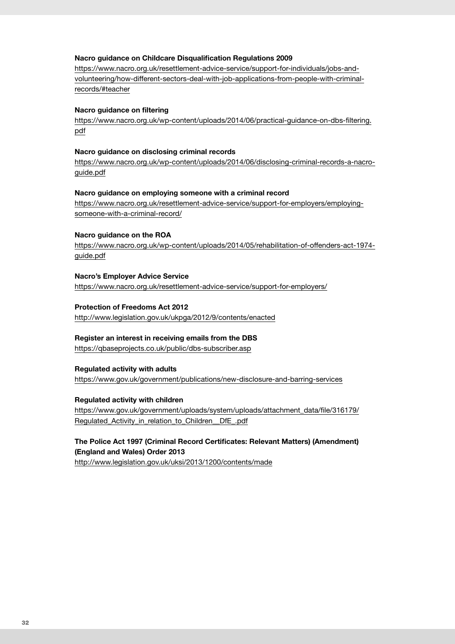#### **Nacro guidance on Childcare Disqualification Regulations 2009**

[https://www.nacro.org.uk/resettlement-advice-service/support-for-individuals/jobs-and](https://www.nacro.org.uk/resettlement-advice-service/support-for-individuals/jobs-and-volunteering/how-different-sectors-deal-with-job-applications-from-people-with-criminal-records/#teacher)[volunteering/how-different-sectors-deal-with-job-applications-from-people-with-criminal](https://www.nacro.org.uk/resettlement-advice-service/support-for-individuals/jobs-and-volunteering/how-different-sectors-deal-with-job-applications-from-people-with-criminal-records/#teacher)[records/#teacher](https://www.nacro.org.uk/resettlement-advice-service/support-for-individuals/jobs-and-volunteering/how-different-sectors-deal-with-job-applications-from-people-with-criminal-records/#teacher)

#### **Nacro guidance on filtering**

[https://www.nacro.org.uk/wp-content/uploads/2014/06/practical-guidance-on-dbs-filtering.](https://www.nacro.org.uk/wp-content/uploads/2014/06/practical-guidance-on-dbs-filtering.pdf) [pdf](https://www.nacro.org.uk/wp-content/uploads/2014/06/practical-guidance-on-dbs-filtering.pdf)

#### **Nacro guidance on disclosing criminal records**

[https://www.nacro.org.uk/wp-content/uploads/2014/06/disclosing-criminal-records-a-nacro](https://www.nacro.org.uk/wp-content/uploads/2014/06/disclosing-criminal-records-a-nacro-guide.pdf)[guide.pdf](https://www.nacro.org.uk/wp-content/uploads/2014/06/disclosing-criminal-records-a-nacro-guide.pdf)

#### **Nacro guidance on employing someone with a criminal record**

[https://www.nacro.org.uk/resettlement-advice-service/support-for-employers/employing](https://www.nacro.org.uk/resettlement-advice-service/support-for-employers/employing-someone-with-a-criminal-record/)[someone-with-a-criminal-record/](https://www.nacro.org.uk/resettlement-advice-service/support-for-employers/employing-someone-with-a-criminal-record/)

#### **Nacro guidance on the ROA**

[https://www.nacro.org.uk/wp-content/uploads/2014/05/rehabilitation-of-offenders-act-1974](https://www.nacro.org.uk/wp-content/uploads/2014/05/rehabilitation-of-offenders-act-1974-guide.pdf) [guide.pdf](https://www.nacro.org.uk/wp-content/uploads/2014/05/rehabilitation-of-offenders-act-1974-guide.pdf)

#### **Nacro's Employer Advice Service**

<https://www.nacro.org.uk/resettlement-advice-service/support-for-employers/>

#### **Protection of Freedoms Act 2012**

<http://www.legislation.gov.uk/ukpga/2012/9/contents/enacted>

#### **Register an interest in receiving emails from the DBS**

<https://qbaseprojects.co.uk/public/dbs-subscriber.asp>

#### **Regulated activity with adults**

<https://www.gov.uk/government/publications/new-disclosure-and-barring-services>

#### **Regulated activity with children**

[https://www.gov.uk/government/uploads/system/uploads/attachment\\_data/file/316179/](https://www.gov.uk/government/uploads/system/uploads/attachment_data/file/316179/Regulated_Activity_in_relation_to_Children__DfE_.pdf) [Regulated\\_Activity\\_in\\_relation\\_to\\_Children\\_\\_DfE\\_.pdf](https://www.gov.uk/government/uploads/system/uploads/attachment_data/file/316179/Regulated_Activity_in_relation_to_Children__DfE_.pdf)

#### **The Police Act 1997 (Criminal Record Certificates: Relevant Matters) (Amendment) (England and Wales) Order 2013**

<http://www.legislation.gov.uk/uksi/2013/1200/contents/made>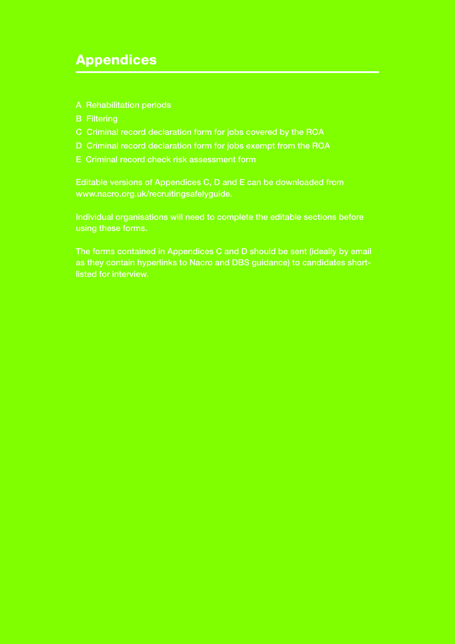# Appendices

- A Rehabilitation periods
- B Filtering
- C Criminal record declaration form for jobs covered by the ROA
- D Criminal record declaration form for jobs exempt from the ROA
- E Criminal record check risk assessment form

Editable versions of Appendices C, D and E can be downloaded from www.nacro.org.uk/recruitingsafelyguide.

Individual organisations will need to complete the editable sections before using these forms.

The forms contained in Appendices C and D should be sent (ideally by email as they contain hyperlinks to Nacro and DBS guidance) to candidates shortlisted for interview.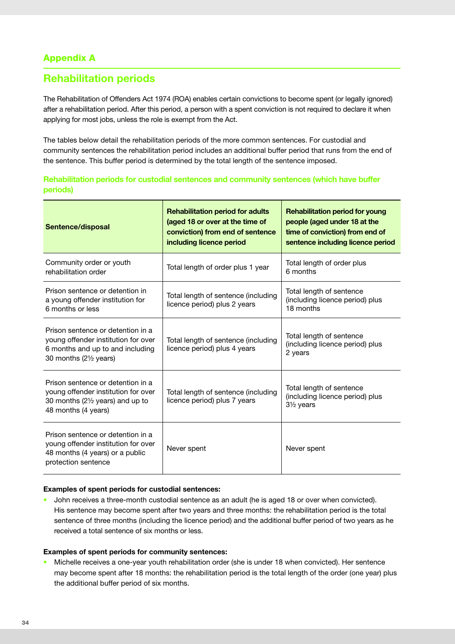### Appendix A

# **Rehabilitation periods**

The Rehabilitation of Offenders Act 1974 (ROA) enables certain convictions to become spent (or legally ignored) after a rehabilitation period. After this period, a person with a spent conviction is not required to declare it when applying for most jobs, unless the role is exempt from the Act.

The tables below detail the rehabilitation periods of the more common sentences. For custodial and community sentences the rehabilitation period includes an additional buffer period that runs from the end of the sentence. This buffer period is determined by the total length of the sentence imposed.

|          |  | Rehabilitation periods for custodial sentences and community sentences (which have buffer |  |  |
|----------|--|-------------------------------------------------------------------------------------------|--|--|
| periods) |  |                                                                                           |  |  |

| Sentence/disposal                                                                                                                      | <b>Rehabilitation period for adults</b><br>(aged 18 or over at the time of<br>conviction) from end of sentence<br>including licence period | <b>Rehabilitation period for young</b><br>people (aged under 18 at the<br>time of conviction) from end of<br>sentence including licence period |
|----------------------------------------------------------------------------------------------------------------------------------------|--------------------------------------------------------------------------------------------------------------------------------------------|------------------------------------------------------------------------------------------------------------------------------------------------|
| Community order or youth<br>rehabilitation order                                                                                       | Total length of order plus 1 year                                                                                                          | Total length of order plus<br>6 months                                                                                                         |
| Prison sentence or detention in<br>a young offender institution for<br>6 months or less                                                | Total length of sentence (including<br>licence period) plus 2 years                                                                        | Total length of sentence<br>(including licence period) plus<br>18 months                                                                       |
| Prison sentence or detention in a<br>young offender institution for over<br>6 months and up to and including<br>30 months (21/2 years) | Total length of sentence (including<br>licence period) plus 4 years                                                                        | Total length of sentence<br>(including licence period) plus<br>2 years                                                                         |
| Prison sentence or detention in a<br>young offender institution for over<br>30 months (21/2 years) and up to<br>48 months (4 years)    | Total length of sentence (including<br>licence period) plus 7 years                                                                        | Total length of sentence<br>(including licence period) plus<br>$3\frac{1}{2}$ years                                                            |
| Prison sentence or detention in a<br>young offender institution for over<br>48 months (4 years) or a public<br>protection sentence     | Never spent                                                                                                                                | Never spent                                                                                                                                    |

#### **Examples of spent periods for custodial sentences:**

• John receives a three-month custodial sentence as an adult (he is aged 18 or over when convicted). His sentence may become spent after two years and three months: the rehabilitation period is the total sentence of three months (including the licence period) and the additional buffer period of two years as he received a total sentence of six months or less.

#### **Examples of spent periods for community sentences:**

• Michelle receives a one-year youth rehabilitation order (she is under 18 when convicted). Her sentence may become spent after 18 months: the rehabilitation period is the total length of the order (one year) plus the additional buffer period of six months.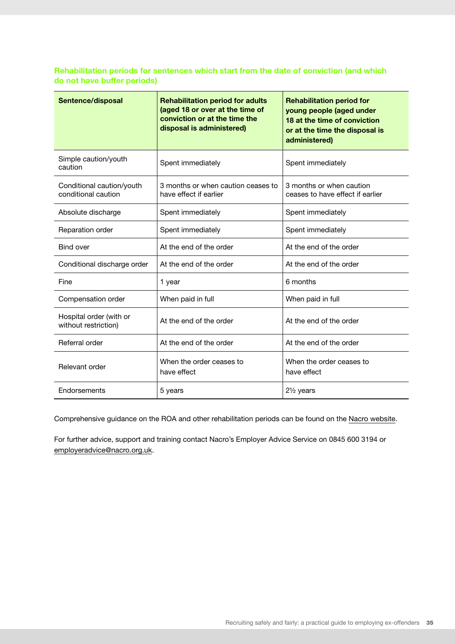#### **Rehabilitation periods for sentences which start from the date of conviction (and which do not have buffer periods)**

| Sentence/disposal                                | <b>Rehabilitation period for adults</b><br>(aged 18 or over at the time of<br>conviction or at the time the<br>disposal is administered) | <b>Rehabilitation period for</b><br>young people (aged under<br>18 at the time of conviction<br>or at the time the disposal is<br>administered) |
|--------------------------------------------------|------------------------------------------------------------------------------------------------------------------------------------------|-------------------------------------------------------------------------------------------------------------------------------------------------|
| Simple caution/youth<br>caution                  | Spent immediately                                                                                                                        | Spent immediately                                                                                                                               |
| Conditional caution/youth<br>conditional caution | 3 months or when caution ceases to<br>have effect if earlier                                                                             | 3 months or when caution<br>ceases to have effect if earlier                                                                                    |
| Absolute discharge                               | Spent immediately                                                                                                                        | Spent immediately                                                                                                                               |
| Reparation order                                 | Spent immediately                                                                                                                        | Spent immediately                                                                                                                               |
| <b>Bind over</b>                                 | At the end of the order                                                                                                                  | At the end of the order                                                                                                                         |
| Conditional discharge order                      | At the end of the order                                                                                                                  | At the end of the order                                                                                                                         |
| Fine                                             | 1 year                                                                                                                                   | 6 months                                                                                                                                        |
| Compensation order                               | When paid in full                                                                                                                        | When paid in full                                                                                                                               |
| Hospital order (with or<br>without restriction)  | At the end of the order                                                                                                                  | At the end of the order                                                                                                                         |
| Referral order                                   | At the end of the order                                                                                                                  | At the end of the order                                                                                                                         |
| Relevant order                                   | When the order ceases to<br>have effect                                                                                                  | When the order ceases to<br>have effect                                                                                                         |
| Endorsements                                     | 5 years                                                                                                                                  | $2\frac{1}{2}$ years                                                                                                                            |

Comprehensive guidance on the ROA and other rehabilitation periods can be found on the [Nacro website](https://www.nacro.org.uk/wp-content/uploads/2014/05/rehabilitation-of-offenders-act-1974-guide.pdf).

For further advice, support and training contact Nacro's Employer Advice Service on 0845 600 3194 or [employeradvice@nacro.org.uk.](mailto:employeradvice@nacro.org.uk)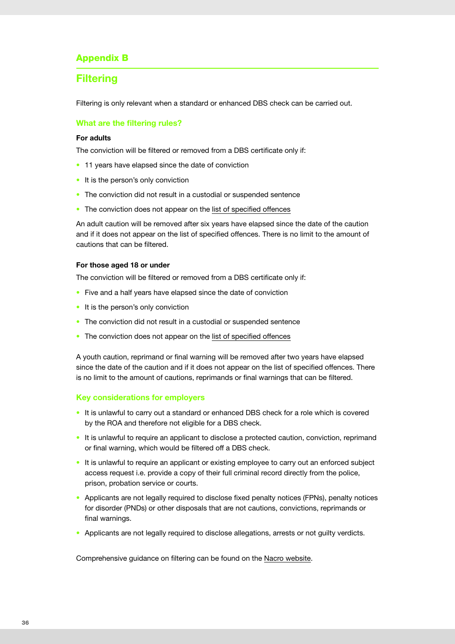### Appendix B

### **Filtering**

Filtering is only relevant when a standard or enhanced DBS check can be carried out.

#### **What are the filtering rules?**

#### **For adults**

The conviction will be filtered or removed from a DBS certificate only if:

- 11 years have elapsed since the date of conviction
- It is the person's only conviction
- The conviction did not result in a custodial or suspended sentence
- The conviction does not appear on the [list of specified offences](https://www.gov.uk/government/publications/dbs-list-of-offences-that-will-never-be-filtered-from-a-criminal-record-check)

An adult caution will be removed after six years have elapsed since the date of the caution and if it does not appear on the list of specified offences. There is no limit to the amount of cautions that can be filtered.

#### **For those aged 18 or under**

The conviction will be filtered or removed from a DBS certificate only if:

- Five and a half years have elapsed since the date of conviction
- It is the person's only conviction
- The conviction did not result in a custodial or suspended sentence
- The conviction does not appear on the [list of specified offences](https://www.gov.uk/government/publications/dbs-list-of-offences-that-will-never-be-filtered-from-a-criminal-record-check)

A youth caution, reprimand or final warning will be removed after two years have elapsed since the date of the caution and if it does not appear on the list of specified offences. There is no limit to the amount of cautions, reprimands or final warnings that can be filtered.

#### **Key considerations for employers**

- It is unlawful to carry out a standard or enhanced DBS check for a role which is covered by the ROA and therefore not eligible for a DBS check.
- It is unlawful to require an applicant to disclose a protected caution, conviction, reprimand or final warning, which would be filtered off a DBS check.
- It is unlawful to require an applicant or existing employee to carry out an enforced subject access request i.e. provide a copy of their full criminal record directly from the police, prison, probation service or courts.
- Applicants are not legally required to disclose fixed penalty notices (FPNs), penalty notices for disorder (PNDs) or other disposals that are not cautions, convictions, reprimands or final warnings.
- Applicants are not legally required to disclose allegations, arrests or not guilty verdicts.

Comprehensive guidance on filtering can be found on the [Nacro website.](https://www.nacro.org.uk/wp-content/uploads/2014/06/practical-guidance-on-dbs-filtering.pdf)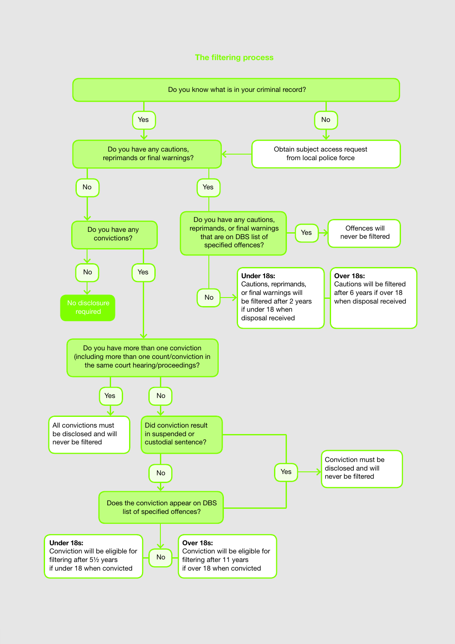#### **The filtering process**

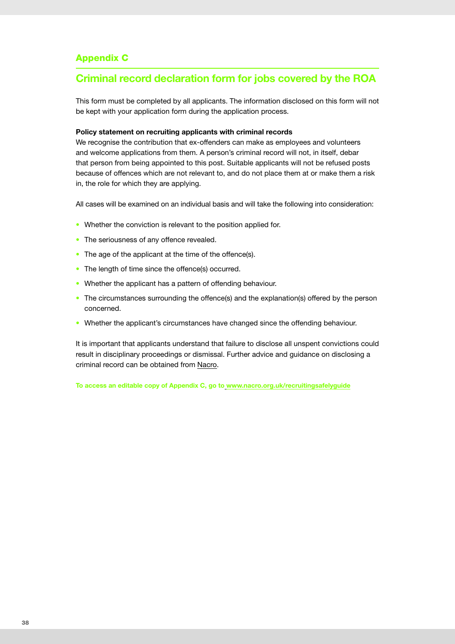### Appendix C

# **Criminal record declaration form for jobs covered by the ROA**

This form must be completed by all applicants. The information disclosed on this form will not be kept with your application form during the application process.

#### **Policy statement on recruiting applicants with criminal records**

We recognise the contribution that ex-offenders can make as employees and volunteers and welcome applications from them. A person's criminal record will not, in itself, debar that person from being appointed to this post. Suitable applicants will not be refused posts because of offences which are not relevant to, and do not place them at or make them a risk in, the role for which they are applying.

All cases will be examined on an individual basis and will take the following into consideration:

- Whether the conviction is relevant to the position applied for.
- The seriousness of any offence revealed.
- The age of the applicant at the time of the offence(s).
- The length of time since the offence(s) occurred.
- Whether the applicant has a pattern of offending behaviour.
- The circumstances surrounding the offence(s) and the explanation(s) offered by the person concerned.
- Whether the applicant's circumstances have changed since the offending behaviour.

It is important that applicants understand that failure to disclose all unspent convictions could result in disciplinary proceedings or dismissal. Further advice and guidance on disclosing a criminal record can be obtained from [Nacro.](https://www.nacro.org.uk/resettlement-advice-service/support-for-individuals/jobs-and-volunteering/disclosing-criminal-records-to-employers/)

**To access an editable copy of Appendix C, go to [www.nacro.org.uk/recruitingsafelyguide](https://www.nacro.org.uk/recruitingsafelyguide)**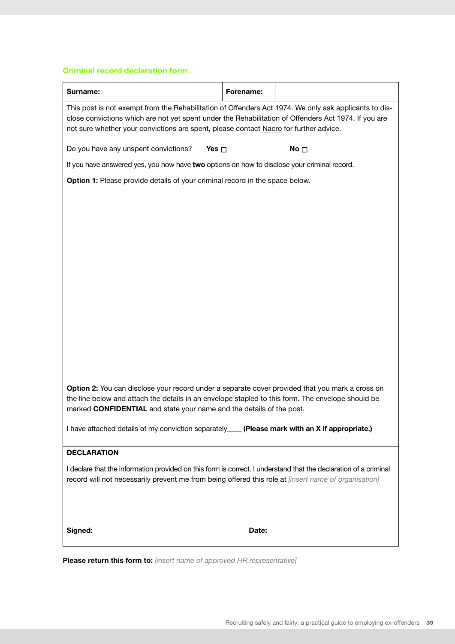#### **Criminal record declaration form**

| Surname:           |                                                                                                                                                                                                                                                                              | Forename: |                                                                                                                                                                                                               |
|--------------------|------------------------------------------------------------------------------------------------------------------------------------------------------------------------------------------------------------------------------------------------------------------------------|-----------|---------------------------------------------------------------------------------------------------------------------------------------------------------------------------------------------------------------|
|                    | not sure whether your convictions are spent, please contact Nacro for further advice.                                                                                                                                                                                        |           | This post is not exempt from the Rehabilitation of Offenders Act 1974. We only ask applicants to dis-<br>close convictions which are not yet spent under the Rehabilitation of Offenders Act 1974. If you are |
|                    | Do you have any unspent convictions?<br>Yes $\Box$                                                                                                                                                                                                                           |           | No $\square$                                                                                                                                                                                                  |
|                    | If you have answered yes, you now have two options on how to disclose your criminal record.                                                                                                                                                                                  |           |                                                                                                                                                                                                               |
|                    | Option 1: Please provide details of your criminal record in the space below.                                                                                                                                                                                                 |           |                                                                                                                                                                                                               |
|                    |                                                                                                                                                                                                                                                                              |           |                                                                                                                                                                                                               |
|                    |                                                                                                                                                                                                                                                                              |           |                                                                                                                                                                                                               |
|                    |                                                                                                                                                                                                                                                                              |           |                                                                                                                                                                                                               |
|                    |                                                                                                                                                                                                                                                                              |           |                                                                                                                                                                                                               |
|                    |                                                                                                                                                                                                                                                                              |           |                                                                                                                                                                                                               |
|                    |                                                                                                                                                                                                                                                                              |           |                                                                                                                                                                                                               |
|                    |                                                                                                                                                                                                                                                                              |           |                                                                                                                                                                                                               |
|                    |                                                                                                                                                                                                                                                                              |           |                                                                                                                                                                                                               |
|                    |                                                                                                                                                                                                                                                                              |           |                                                                                                                                                                                                               |
|                    |                                                                                                                                                                                                                                                                              |           |                                                                                                                                                                                                               |
|                    |                                                                                                                                                                                                                                                                              |           |                                                                                                                                                                                                               |
|                    | Option 2: You can disclose your record under a separate cover provided that you mark a cross on<br>the line below and attach the details in an envelope stapled to this form. The envelope should be<br>marked CONFIDENTIAL and state your name and the details of the post. |           |                                                                                                                                                                                                               |
|                    | I have attached details of my conviction separately____ (Please mark with an X if appropriate.)                                                                                                                                                                              |           |                                                                                                                                                                                                               |
| <b>DECLARATION</b> |                                                                                                                                                                                                                                                                              |           |                                                                                                                                                                                                               |
|                    | record will not necessarily prevent me from being offered this role at <i>[insert name of organisation]</i>                                                                                                                                                                  |           | I declare that the information provided on this form is correct. I understand that the declaration of a criminal                                                                                              |
| Signed:            |                                                                                                                                                                                                                                                                              | Date:     |                                                                                                                                                                                                               |
|                    |                                                                                                                                                                                                                                                                              |           |                                                                                                                                                                                                               |

**Please return this form to:** *[insert name of approved HR representative]*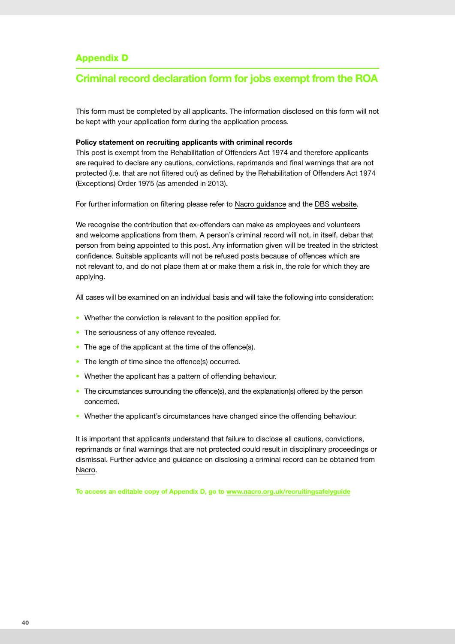### Appendix D

### **Criminal record declaration form for jobs exempt from the ROA**

This form must be completed by all applicants. The information disclosed on this form will not be kept with your application form during the application process.

#### **Policy statement on recruiting applicants with criminal records**

This post is exempt from the Rehabilitation of Offenders Act 1974 and therefore applicants are required to declare any cautions, convictions, reprimands and final warnings that are not protected (i.e. that are not filtered out) as defined by the Rehabilitation of Offenders Act 1974 (Exceptions) Order 1975 (as amended in 2013).

For further information on filtering please refer to [Nacro guidance](https://www.nacro.org.uk/wp-content/uploads/2014/06/practical-guidance-on-dbs-filtering.pdf) and the [DBS website.](https://www.gov.uk/government/publications/dbs-filtering-guidance)

We recognise the contribution that ex-offenders can make as employees and volunteers and welcome applications from them. A person's criminal record will not, in itself, debar that person from being appointed to this post. Any information given will be treated in the strictest confidence. Suitable applicants will not be refused posts because of offences which are not relevant to, and do not place them at or make them a risk in, the role for which they are applying.

All cases will be examined on an individual basis and will take the following into consideration:

- Whether the conviction is relevant to the position applied for.
- The seriousness of any offence revealed.
- The age of the applicant at the time of the offence(s).
- The length of time since the offence(s) occurred.
- Whether the applicant has a pattern of offending behaviour.
- The circumstances surrounding the offence(s), and the explanation(s) offered by the person concerned.
- Whether the applicant's circumstances have changed since the offending behaviour.

It is important that applicants understand that failure to disclose all cautions, convictions, reprimands or final warnings that are not protected could result in disciplinary proceedings or dismissal. Further advice and guidance on disclosing a criminal record can be obtained from [Nacro.](https://www.nacro.org.uk/resettlement-advice-service/support-for-individuals/jobs-and-volunteering/disclosing-criminal-records-to-employers/)

**To access an editable copy of Appendix D, go to [www.nacro.org.uk/recruitingsafelyguide](https://www.nacro.org.uk/recruitingsafelyguide)**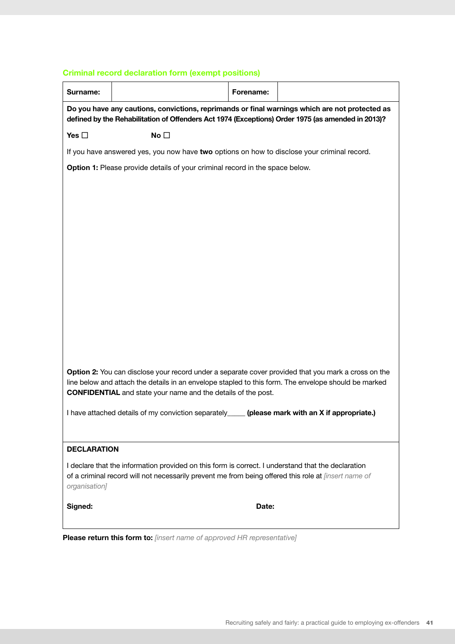### **Criminal record declaration form (exempt positions)**

| Yes $\square$      | No $\square$<br>If you have answered yes, you now have two options on how to disclose your criminal record. |       | Do you have any cautions, convictions, reprimands or final warnings which are not protected as<br>defined by the Rehabilitation of Offenders Act 1974 (Exceptions) Order 1975 (as amended in 2013)?         |
|--------------------|-------------------------------------------------------------------------------------------------------------|-------|-------------------------------------------------------------------------------------------------------------------------------------------------------------------------------------------------------------|
|                    |                                                                                                             |       |                                                                                                                                                                                                             |
|                    |                                                                                                             |       |                                                                                                                                                                                                             |
|                    |                                                                                                             |       |                                                                                                                                                                                                             |
|                    | Option 1: Please provide details of your criminal record in the space below.                                |       |                                                                                                                                                                                                             |
|                    |                                                                                                             |       |                                                                                                                                                                                                             |
|                    |                                                                                                             |       |                                                                                                                                                                                                             |
|                    |                                                                                                             |       |                                                                                                                                                                                                             |
|                    |                                                                                                             |       |                                                                                                                                                                                                             |
|                    |                                                                                                             |       |                                                                                                                                                                                                             |
|                    |                                                                                                             |       |                                                                                                                                                                                                             |
|                    |                                                                                                             |       |                                                                                                                                                                                                             |
|                    |                                                                                                             |       |                                                                                                                                                                                                             |
|                    |                                                                                                             |       |                                                                                                                                                                                                             |
|                    |                                                                                                             |       |                                                                                                                                                                                                             |
|                    |                                                                                                             |       |                                                                                                                                                                                                             |
|                    | <b>CONFIDENTIAL</b> and state your name and the details of the post.                                        |       | Option 2: You can disclose your record under a separate cover provided that you mark a cross on the<br>line below and attach the details in an envelope stapled to this form. The envelope should be marked |
|                    | I have attached details of my conviction separately                                                         |       | (please mark with an X if appropriate.)                                                                                                                                                                     |
|                    |                                                                                                             |       |                                                                                                                                                                                                             |
| <b>DECLARATION</b> |                                                                                                             |       |                                                                                                                                                                                                             |
| organisation]      | I declare that the information provided on this form is correct. I understand that the declaration          |       | of a criminal record will not necessarily prevent me from being offered this role at <i>[insert name of</i>                                                                                                 |
| Signed:            |                                                                                                             | Date: |                                                                                                                                                                                                             |

**Please return this form to:** *[insert name of approved HR representative]*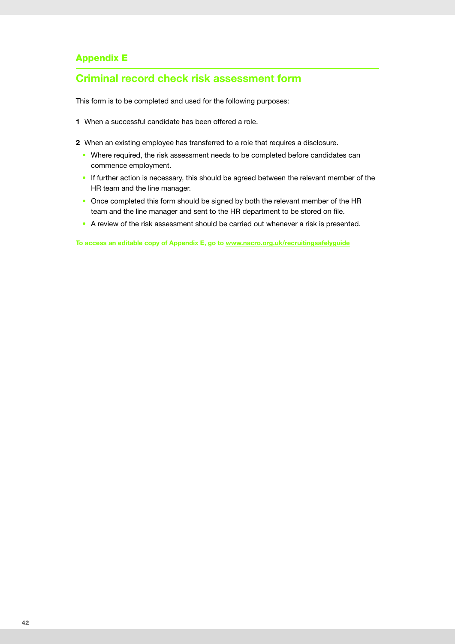### Appendix E

### **Criminal record check risk assessment form**

This form is to be completed and used for the following purposes:

- **1** When a successful candidate has been offered a role.
- **2** When an existing employee has transferred to a role that requires a disclosure.
	- Where required, the risk assessment needs to be completed before candidates can commence employment.
	- If further action is necessary, this should be agreed between the relevant member of the HR team and the line manager.
	- Once completed this form should be signed by both the relevant member of the HR team and the line manager and sent to the HR department to be stored on file.
	- A review of the risk assessment should be carried out whenever a risk is presented.

**To access an editable copy of Appendix E, go to [www.nacro.org.uk/recruitingsafelyguide](https://www.nacro.org.uk/recruitingsafelyguide)**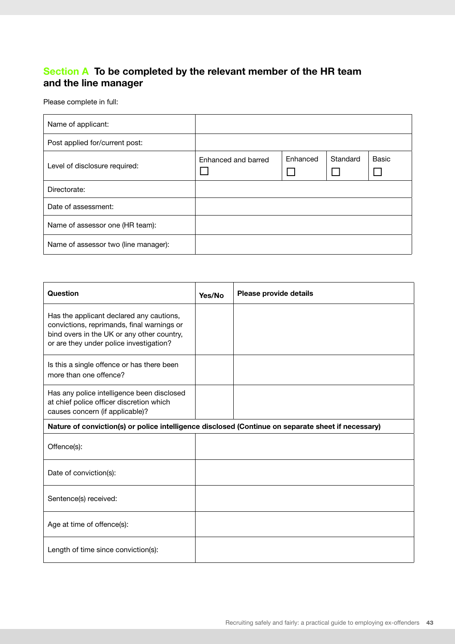# **Section A To be completed by the relevant member of the HR team and the line manager**

Please complete in full:

| Name of applicant:                   |                     |          |          |       |
|--------------------------------------|---------------------|----------|----------|-------|
| Post applied for/current post:       |                     |          |          |       |
| Level of disclosure required:        | Enhanced and barred | Enhanced | Standard | Basic |
| Directorate:                         |                     |          |          |       |
| Date of assessment:                  |                     |          |          |       |
| Name of assessor one (HR team):      |                     |          |          |       |
| Name of assessor two (line manager): |                     |          |          |       |

| Question                                                                                                                                                                        | Yes/No | Please provide details |  |  |
|---------------------------------------------------------------------------------------------------------------------------------------------------------------------------------|--------|------------------------|--|--|
| Has the applicant declared any cautions,<br>convictions, reprimands, final warnings or<br>bind overs in the UK or any other country,<br>or are they under police investigation? |        |                        |  |  |
| Is this a single offence or has there been<br>more than one offence?                                                                                                            |        |                        |  |  |
| Has any police intelligence been disclosed<br>at chief police officer discretion which<br>causes concern (if applicable)?                                                       |        |                        |  |  |
| Nature of conviction(s) or police intelligence disclosed (Continue on separate sheet if necessary)                                                                              |        |                        |  |  |
| Offence(s):                                                                                                                                                                     |        |                        |  |  |
| Date of conviction(s):                                                                                                                                                          |        |                        |  |  |
| Sentence(s) received:                                                                                                                                                           |        |                        |  |  |
| Age at time of offence(s):                                                                                                                                                      |        |                        |  |  |
| Length of time since conviction(s):                                                                                                                                             |        |                        |  |  |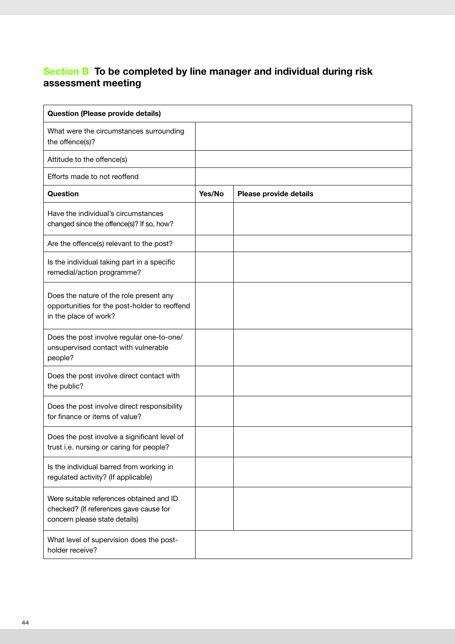# **Section B To be completed by line manager and individual during risk assessment meeting**

| <b>Question (Please provide details)</b>                                                                            |        |                        |
|---------------------------------------------------------------------------------------------------------------------|--------|------------------------|
| What were the circumstances surrounding<br>the offence(s)?                                                          |        |                        |
| Attitude to the offence(s)                                                                                          |        |                        |
| Efforts made to not reoffend                                                                                        |        |                        |
| Question                                                                                                            | Yes/No | Please provide details |
| Have the individual's circumstances<br>changed since the offence(s)? If so, how?                                    |        |                        |
| Are the offence(s) relevant to the post?                                                                            |        |                        |
| Is the individual taking part in a specific<br>remedial/action programme?                                           |        |                        |
| Does the nature of the role present any<br>opportunities for the post-holder to reoffend<br>in the place of work?   |        |                        |
| Does the post involve regular one-to-one/<br>unsupervised contact with vulnerable<br>people?                        |        |                        |
| Does the post involve direct contact with<br>the public?                                                            |        |                        |
| Does the post involve direct responsibility<br>for finance or items of value?                                       |        |                        |
| Does the post involve a significant level of<br>trust i.e. nursing or caring for people?                            |        |                        |
| Is the individual barred from working in<br>regulated activity? (If applicable)                                     |        |                        |
| Were suitable references obtained and ID<br>checked? (If references gave cause for<br>concern please state details) |        |                        |
| What level of supervision does the post-<br>holder receive?                                                         |        |                        |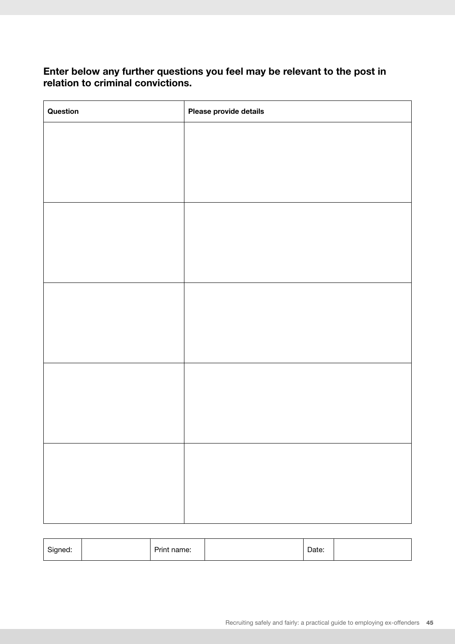### **Enter below any further questions you feel may be relevant to the post in relation to criminal convictions.**

| Question | Please provide details |
|----------|------------------------|
|          |                        |
|          |                        |
|          |                        |
|          |                        |
|          |                        |
|          |                        |
|          |                        |
|          |                        |
|          |                        |
|          |                        |
|          |                        |
|          |                        |
|          |                        |
|          |                        |
|          |                        |
|          |                        |
|          |                        |
|          |                        |
|          |                        |

| Signed: | -<br>name:<br>Prin∟ | Date: |  |
|---------|---------------------|-------|--|
|         |                     |       |  |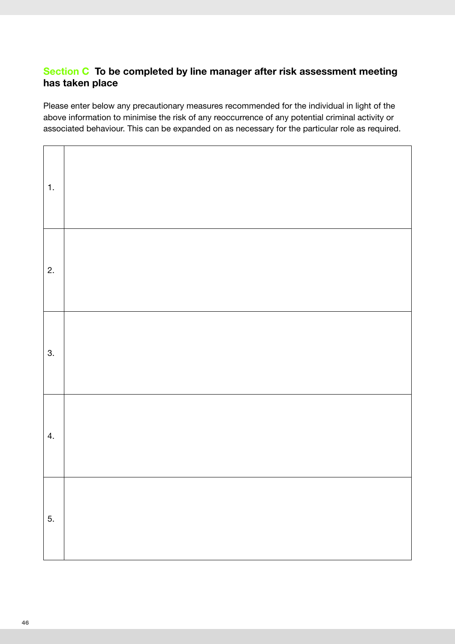# **Section C To be completed by line manager after risk assessment meeting has taken place**

Please enter below any precautionary measures recommended for the individual in light of the above information to minimise the risk of any reoccurrence of any potential criminal activity or associated behaviour. This can be expanded on as necessary for the particular role as required.

| 1. |  |
|----|--|
| 2. |  |
| 3. |  |
| 4. |  |
| 5. |  |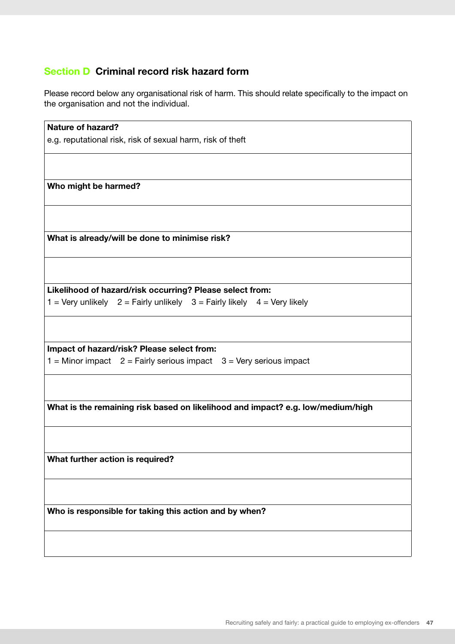# **Section D Criminal record risk hazard form**

Please record below any organisational risk of harm. This should relate specifically to the impact on the organisation and not the individual.

| <b>Nature of hazard?</b>                                                        |  |  |  |  |
|---------------------------------------------------------------------------------|--|--|--|--|
| e.g. reputational risk, risk of sexual harm, risk of theft                      |  |  |  |  |
|                                                                                 |  |  |  |  |
|                                                                                 |  |  |  |  |
| Who might be harmed?                                                            |  |  |  |  |
|                                                                                 |  |  |  |  |
|                                                                                 |  |  |  |  |
|                                                                                 |  |  |  |  |
| What is already/will be done to minimise risk?                                  |  |  |  |  |
|                                                                                 |  |  |  |  |
|                                                                                 |  |  |  |  |
|                                                                                 |  |  |  |  |
| Likelihood of hazard/risk occurring? Please select from:                        |  |  |  |  |
| $1 =$ Very unlikely $2 =$ Fairly unlikely $3 =$ Fairly likely $4 =$ Very likely |  |  |  |  |
|                                                                                 |  |  |  |  |
|                                                                                 |  |  |  |  |
| Impact of hazard/risk? Please select from:                                      |  |  |  |  |
| $1 =$ Minor impact $2 =$ Fairly serious impact $3 =$ Very serious impact        |  |  |  |  |
|                                                                                 |  |  |  |  |
|                                                                                 |  |  |  |  |
|                                                                                 |  |  |  |  |
| What is the remaining risk based on likelihood and impact? e.g. low/medium/high |  |  |  |  |
|                                                                                 |  |  |  |  |
|                                                                                 |  |  |  |  |
| What further action is required?                                                |  |  |  |  |
|                                                                                 |  |  |  |  |
|                                                                                 |  |  |  |  |
|                                                                                 |  |  |  |  |
| Who is responsible for taking this action and by when?                          |  |  |  |  |
|                                                                                 |  |  |  |  |
|                                                                                 |  |  |  |  |
|                                                                                 |  |  |  |  |
|                                                                                 |  |  |  |  |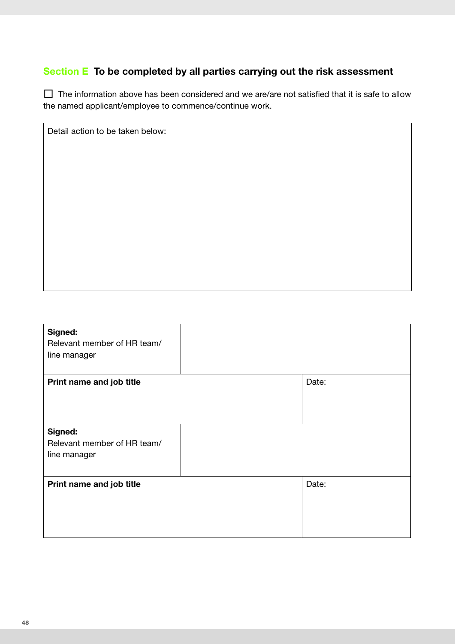# **Section E To be completed by all parties carrying out the risk assessment**

Detail action to be taken below:

 $\Box$  The information above has been considered and we are/are not satisfied that it is safe to allow the named applicant/employee to commence/continue work.

| Signed:<br>Relevant member of HR team/<br>line manager |       |
|--------------------------------------------------------|-------|
| Print name and job title                               | Date: |
| Signed:<br>Relevant member of HR team/<br>line manager |       |
| Print name and job title                               | Date: |